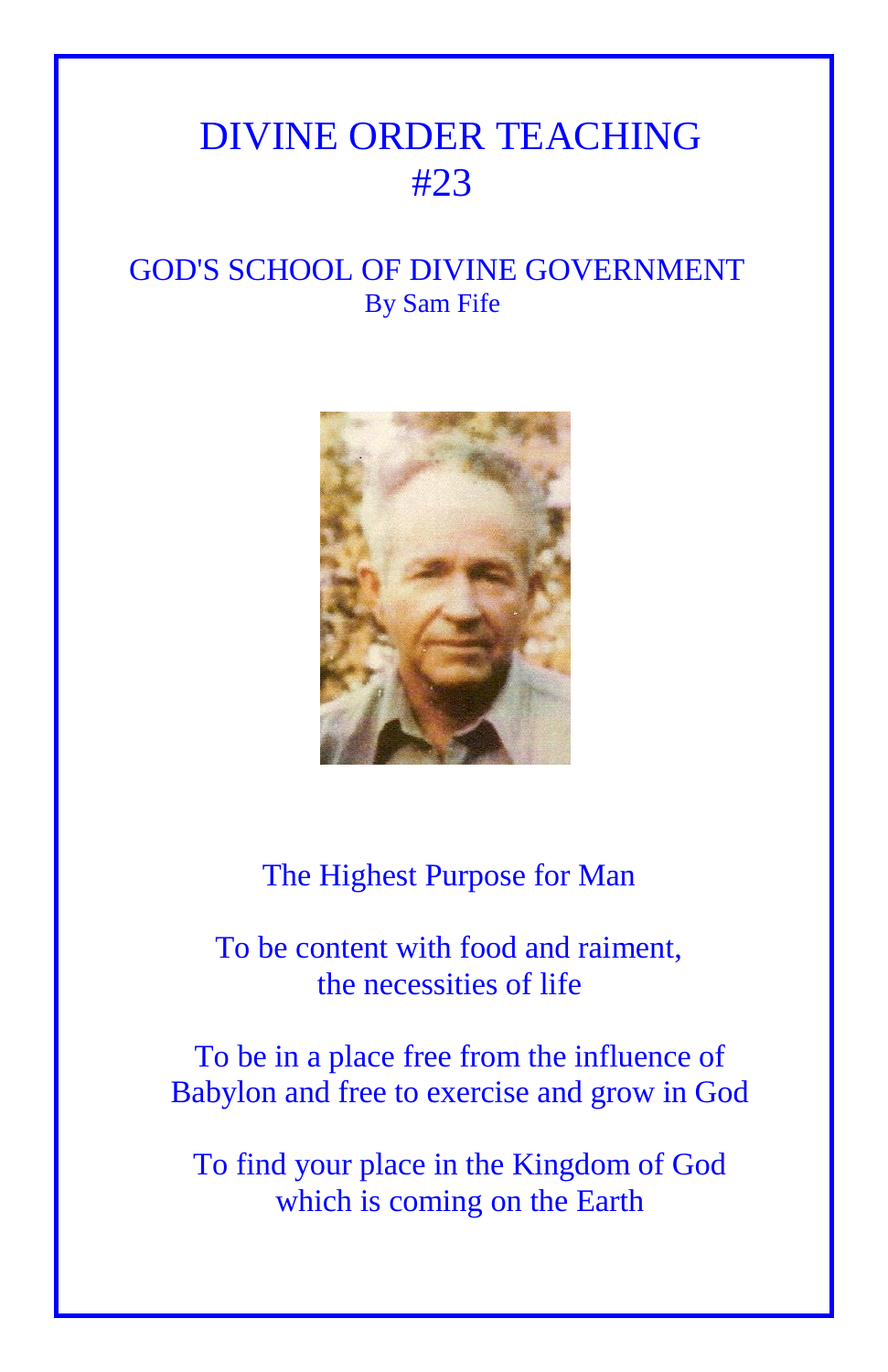## DIVINE ORDER TEACHING #23

## GOD'S SCHOOL OF DIVINE GOVERNMENT By Sam Fife



The Highest Purpose for Man

 To be content with food and raiment, the necessities of life

To be in a place free from the influence of Babylon and free to exercise and grow in God

To find your place in the Kingdom of God which is coming on the Earth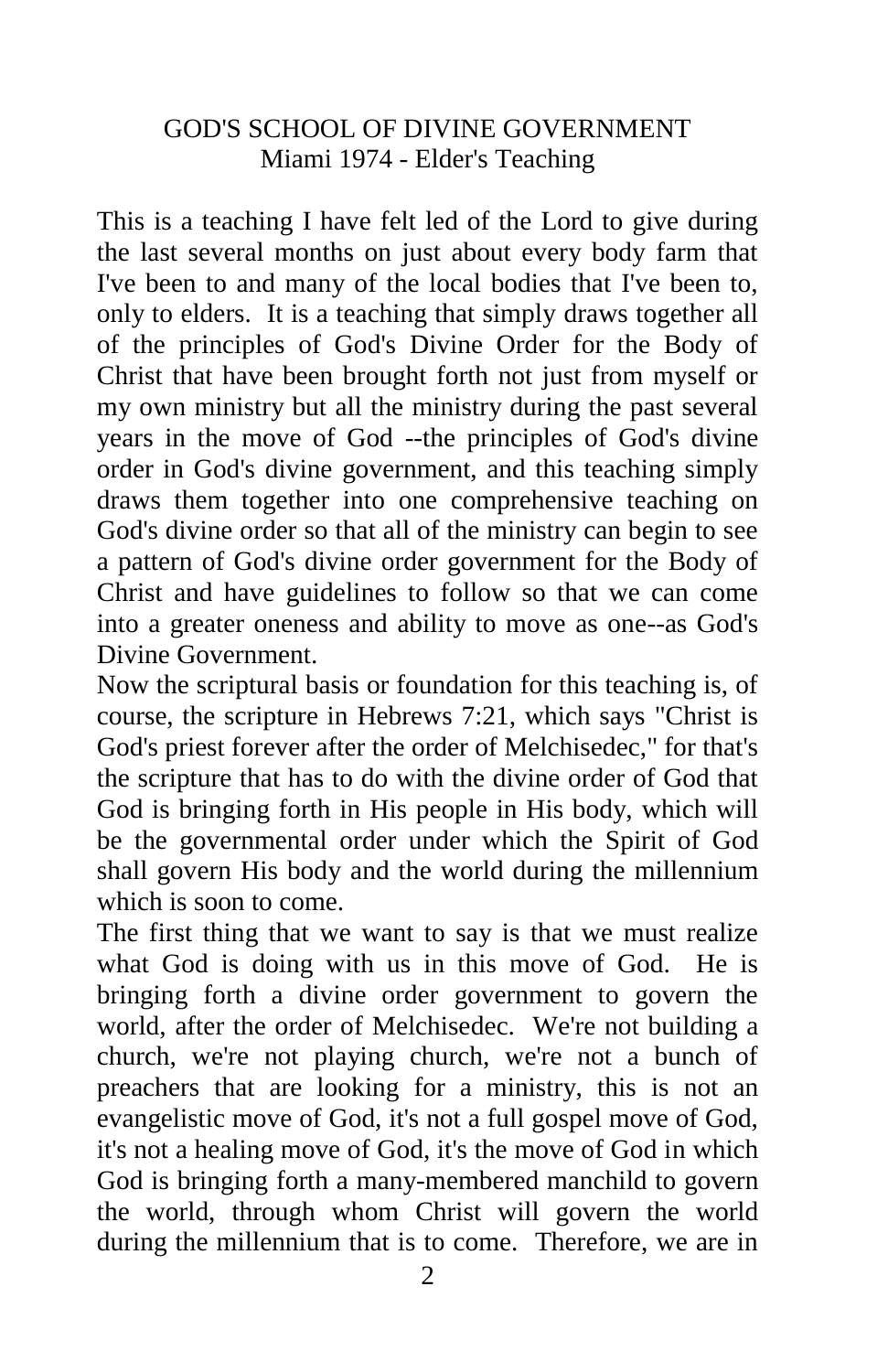## GOD'S SCHOOL OF DIVINE GOVERNMENT Miami 1974 - Elder's Teaching

This is a teaching I have felt led of the Lord to give during the last several months on just about every body farm that I've been to and many of the local bodies that I've been to, only to elders. It is a teaching that simply draws together all of the principles of God's Divine Order for the Body of Christ that have been brought forth not just from myself or my own ministry but all the ministry during the past several years in the move of God --the principles of God's divine order in God's divine government, and this teaching simply draws them together into one comprehensive teaching on God's divine order so that all of the ministry can begin to see a pattern of God's divine order government for the Body of Christ and have guidelines to follow so that we can come into a greater oneness and ability to move as one--as God's Divine Government.

Now the scriptural basis or foundation for this teaching is, of course, the scripture in Hebrews 7:21, which says "Christ is God's priest forever after the order of Melchisedec," for that's the scripture that has to do with the divine order of God that God is bringing forth in His people in His body, which will be the governmental order under which the Spirit of God shall govern His body and the world during the millennium which is soon to come.

The first thing that we want to say is that we must realize what God is doing with us in this move of God. He is bringing forth a divine order government to govern the world, after the order of Melchisedec. We're not building a church, we're not playing church, we're not a bunch of preachers that are looking for a ministry, this is not an evangelistic move of God, it's not a full gospel move of God, it's not a healing move of God, it's the move of God in which God is bringing forth a many-membered manchild to govern the world, through whom Christ will govern the world during the millennium that is to come. Therefore, we are in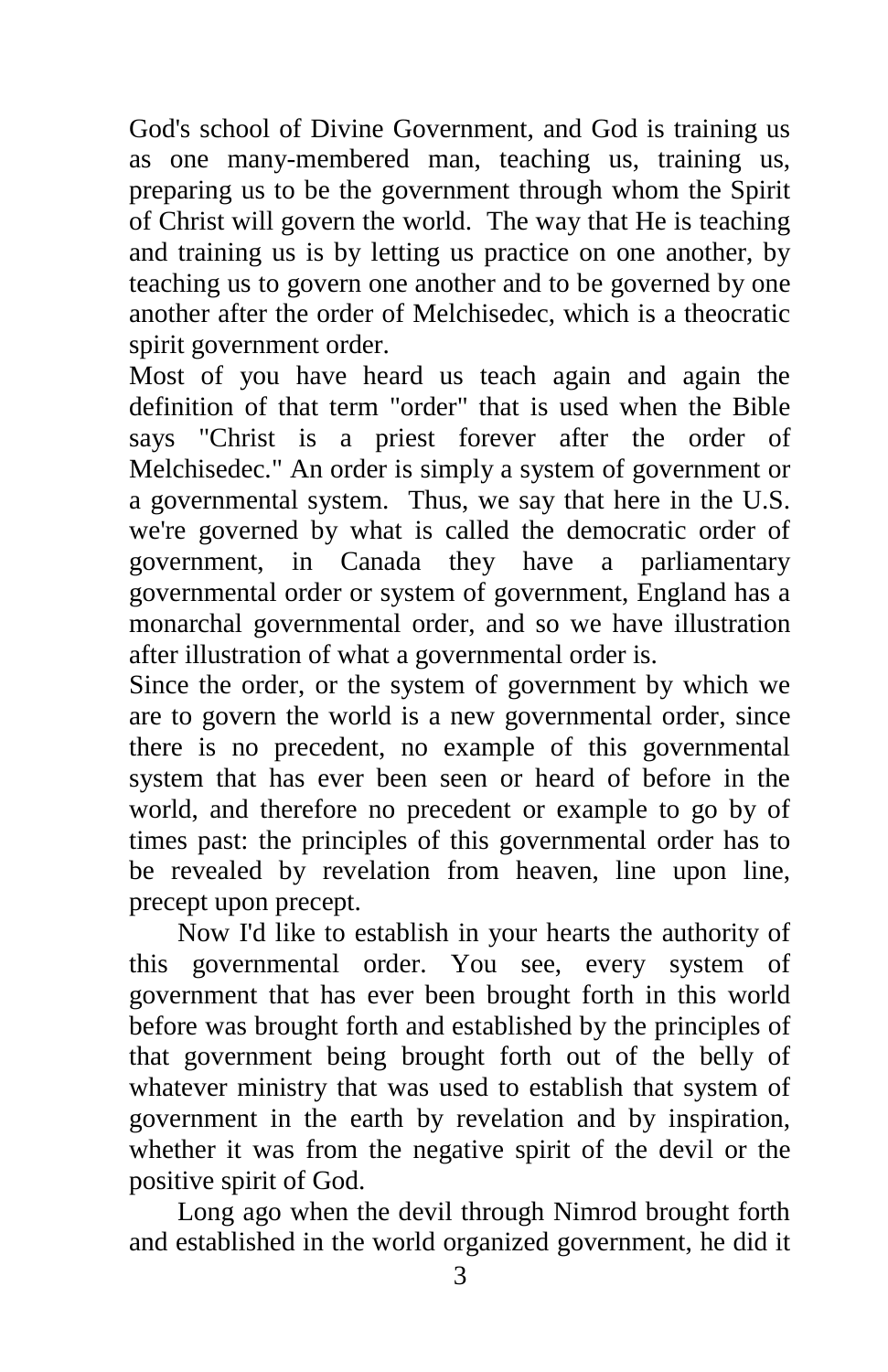God's school of Divine Government, and God is training us as one many-membered man, teaching us, training us, preparing us to be the government through whom the Spirit of Christ will govern the world. The way that He is teaching and training us is by letting us practice on one another, by teaching us to govern one another and to be governed by one another after the order of Melchisedec, which is a theocratic spirit government order.

Most of you have heard us teach again and again the definition of that term "order" that is used when the Bible says "Christ is a priest forever after the order of Melchisedec." An order is simply a system of government or a governmental system. Thus, we say that here in the U.S. we're governed by what is called the democratic order of government, in Canada they have a parliamentary governmental order or system of government, England has a monarchal governmental order, and so we have illustration after illustration of what a governmental order is.

Since the order, or the system of government by which we are to govern the world is a new governmental order, since there is no precedent, no example of this governmental system that has ever been seen or heard of before in the world, and therefore no precedent or example to go by of times past: the principles of this governmental order has to be revealed by revelation from heaven, line upon line, precept upon precept.

Now I'd like to establish in your hearts the authority of this governmental order. You see, every system of government that has ever been brought forth in this world before was brought forth and established by the principles of that government being brought forth out of the belly of whatever ministry that was used to establish that system of government in the earth by revelation and by inspiration, whether it was from the negative spirit of the devil or the positive spirit of God.

Long ago when the devil through Nimrod brought forth and established in the world organized government, he did it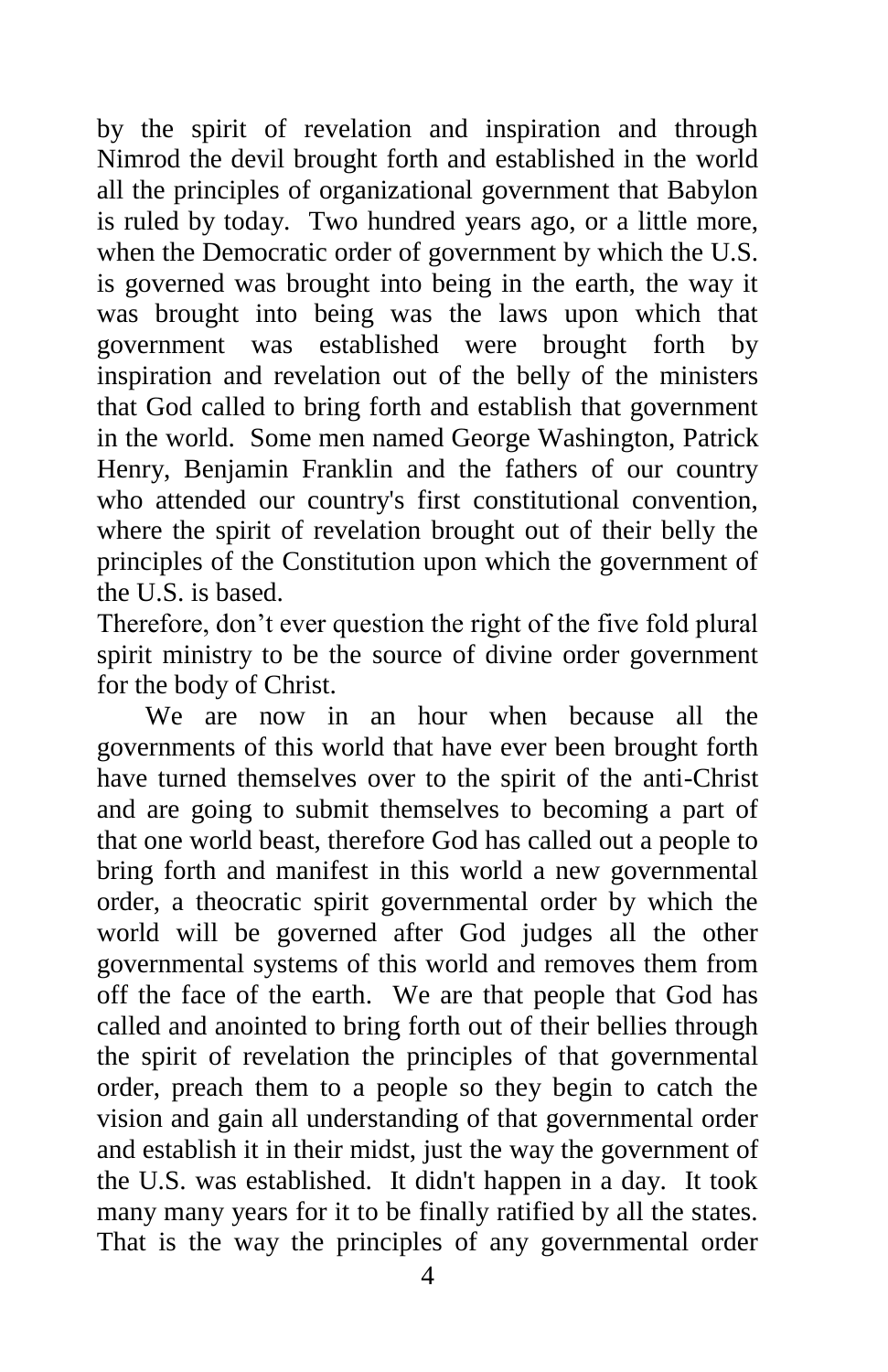by the spirit of revelation and inspiration and through Nimrod the devil brought forth and established in the world all the principles of organizational government that Babylon is ruled by today. Two hundred years ago, or a little more, when the Democratic order of government by which the U.S. is governed was brought into being in the earth, the way it was brought into being was the laws upon which that government was established were brought forth by inspiration and revelation out of the belly of the ministers that God called to bring forth and establish that government in the world. Some men named George Washington, Patrick Henry, Benjamin Franklin and the fathers of our country who attended our country's first constitutional convention, where the spirit of revelation brought out of their belly the principles of the Constitution upon which the government of the U.S. is based.

Therefore, don't ever question the right of the five fold plural spirit ministry to be the source of divine order government for the body of Christ.

We are now in an hour when because all the governments of this world that have ever been brought forth have turned themselves over to the spirit of the anti-Christ and are going to submit themselves to becoming a part of that one world beast, therefore God has called out a people to bring forth and manifest in this world a new governmental order, a theocratic spirit governmental order by which the world will be governed after God judges all the other governmental systems of this world and removes them from off the face of the earth. We are that people that God has called and anointed to bring forth out of their bellies through the spirit of revelation the principles of that governmental order, preach them to a people so they begin to catch the vision and gain all understanding of that governmental order and establish it in their midst, just the way the government of the U.S. was established. It didn't happen in a day. It took many many years for it to be finally ratified by all the states. That is the way the principles of any governmental order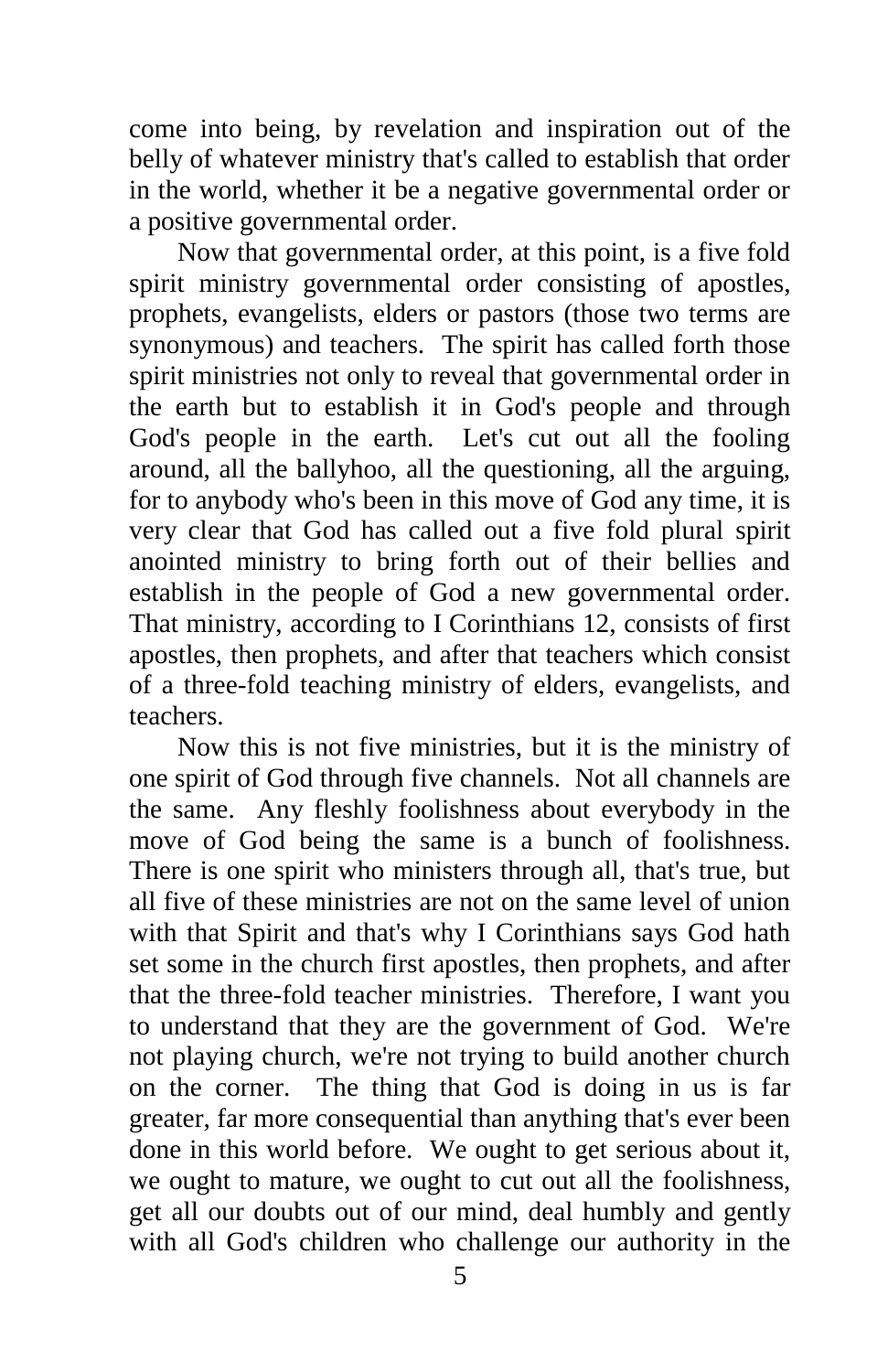come into being, by revelation and inspiration out of the belly of whatever ministry that's called to establish that order in the world, whether it be a negative governmental order or a positive governmental order.

Now that governmental order, at this point, is a five fold spirit ministry governmental order consisting of apostles, prophets, evangelists, elders or pastors (those two terms are synonymous) and teachers. The spirit has called forth those spirit ministries not only to reveal that governmental order in the earth but to establish it in God's people and through God's people in the earth. Let's cut out all the fooling around, all the ballyhoo, all the questioning, all the arguing, for to anybody who's been in this move of God any time, it is very clear that God has called out a five fold plural spirit anointed ministry to bring forth out of their bellies and establish in the people of God a new governmental order. That ministry, according to I Corinthians 12, consists of first apostles, then prophets, and after that teachers which consist of a three-fold teaching ministry of elders, evangelists, and teachers.

Now this is not five ministries, but it is the ministry of one spirit of God through five channels. Not all channels are the same. Any fleshly foolishness about everybody in the move of God being the same is a bunch of foolishness. There is one spirit who ministers through all, that's true, but all five of these ministries are not on the same level of union with that Spirit and that's why I Corinthians says God hath set some in the church first apostles, then prophets, and after that the three-fold teacher ministries. Therefore, I want you to understand that they are the government of God. We're not playing church, we're not trying to build another church on the corner. The thing that God is doing in us is far greater, far more consequential than anything that's ever been done in this world before. We ought to get serious about it, we ought to mature, we ought to cut out all the foolishness, get all our doubts out of our mind, deal humbly and gently with all God's children who challenge our authority in the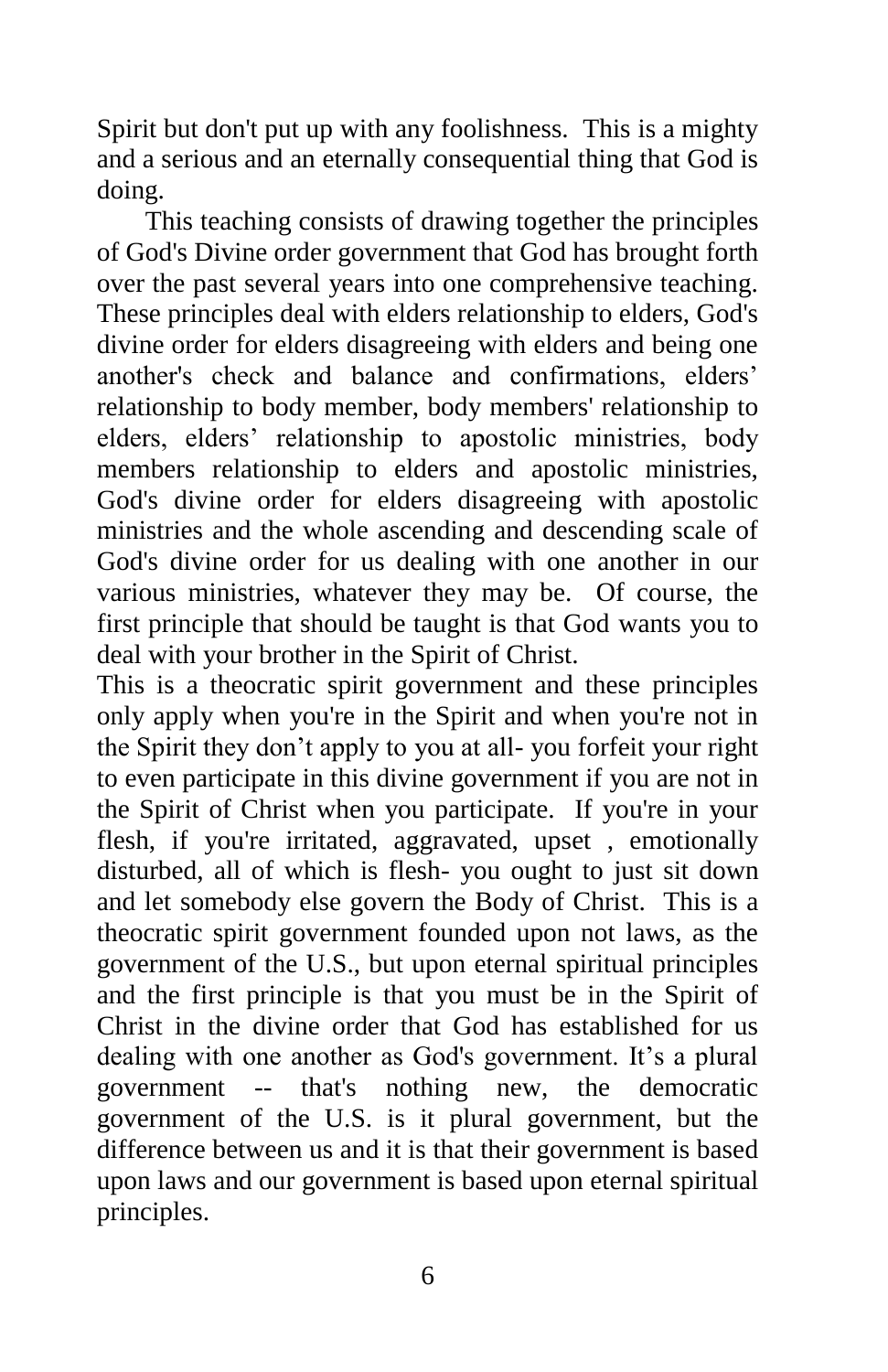Spirit but don't put up with any foolishness. This is a mighty and a serious and an eternally consequential thing that God is doing.

This teaching consists of drawing together the principles of God's Divine order government that God has brought forth over the past several years into one comprehensive teaching. These principles deal with elders relationship to elders, God's divine order for elders disagreeing with elders and being one another's check and balance and confirmations, elders' relationship to body member, body members' relationship to elders, elders' relationship to apostolic ministries, body members relationship to elders and apostolic ministries, God's divine order for elders disagreeing with apostolic ministries and the whole ascending and descending scale of God's divine order for us dealing with one another in our various ministries, whatever they may be. Of course, the first principle that should be taught is that God wants you to deal with your brother in the Spirit of Christ.

This is a theocratic spirit government and these principles only apply when you're in the Spirit and when you're not in the Spirit they don't apply to you at all- you forfeit your right to even participate in this divine government if you are not in the Spirit of Christ when you participate. If you're in your flesh, if you're irritated, aggravated, upset, emotionally disturbed, all of which is flesh- you ought to just sit down and let somebody else govern the Body of Christ. This is a theocratic spirit government founded upon not laws, as the government of the U.S., but upon eternal spiritual principles and the first principle is that you must be in the Spirit of Christ in the divine order that God has established for us dealing with one another as God's government. It's a plural government -- that's nothing new, the democratic government of the U.S. is it plural government, but the difference between us and it is that their government is based upon laws and our government is based upon eternal spiritual principles.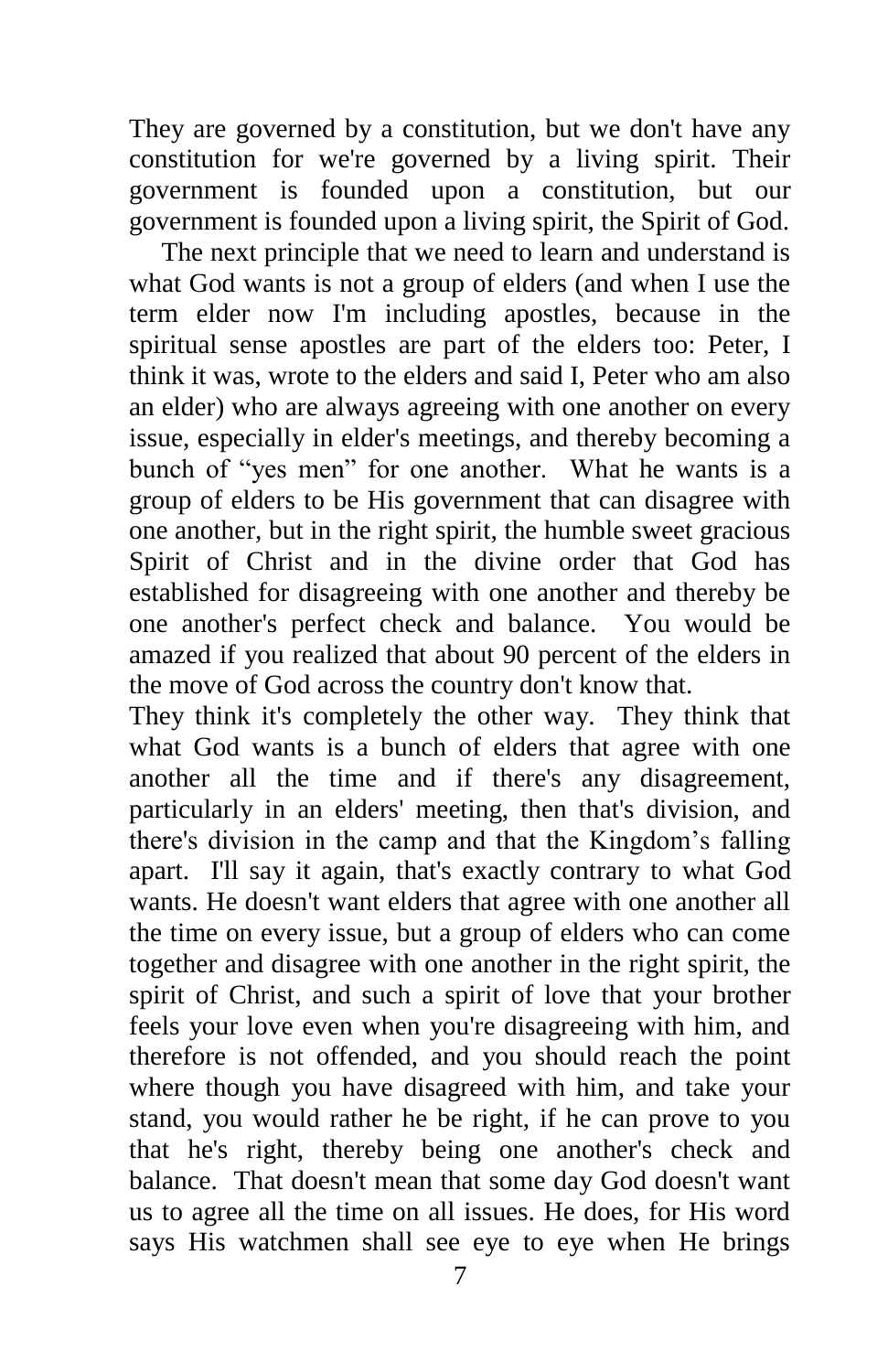They are governed by a constitution, but we don't have any constitution for we're governed by a living spirit. Their government is founded upon a constitution, but our government is founded upon a living spirit, the Spirit of God.

The next principle that we need to learn and understand is what God wants is not a group of elders (and when I use the term elder now I'm including apostles, because in the spiritual sense apostles are part of the elders too: Peter, I think it was, wrote to the elders and said I, Peter who am also an elder) who are always agreeing with one another on every issue, especially in elder's meetings, and thereby becoming a bunch of "yes men" for one another. What he wants is a group of elders to be His government that can disagree with one another, but in the right spirit, the humble sweet gracious Spirit of Christ and in the divine order that God has established for disagreeing with one another and thereby be one another's perfect check and balance. You would be amazed if you realized that about 90 percent of the elders in the move of God across the country don't know that.

They think it's completely the other way. They think that what God wants is a bunch of elders that agree with one another all the time and if there's any disagreement, particularly in an elders' meeting, then that's division, and there's division in the camp and that the Kingdom's falling apart. I'll say it again, that's exactly contrary to what God wants. He doesn't want elders that agree with one another all the time on every issue, but a group of elders who can come together and disagree with one another in the right spirit, the spirit of Christ, and such a spirit of love that your brother feels your love even when you're disagreeing with him, and therefore is not offended, and you should reach the point where though you have disagreed with him, and take your stand, you would rather he be right, if he can prove to you that he's right, thereby being one another's check and balance. That doesn't mean that some day God doesn't want us to agree all the time on all issues. He does, for His word says His watchmen shall see eye to eye when He brings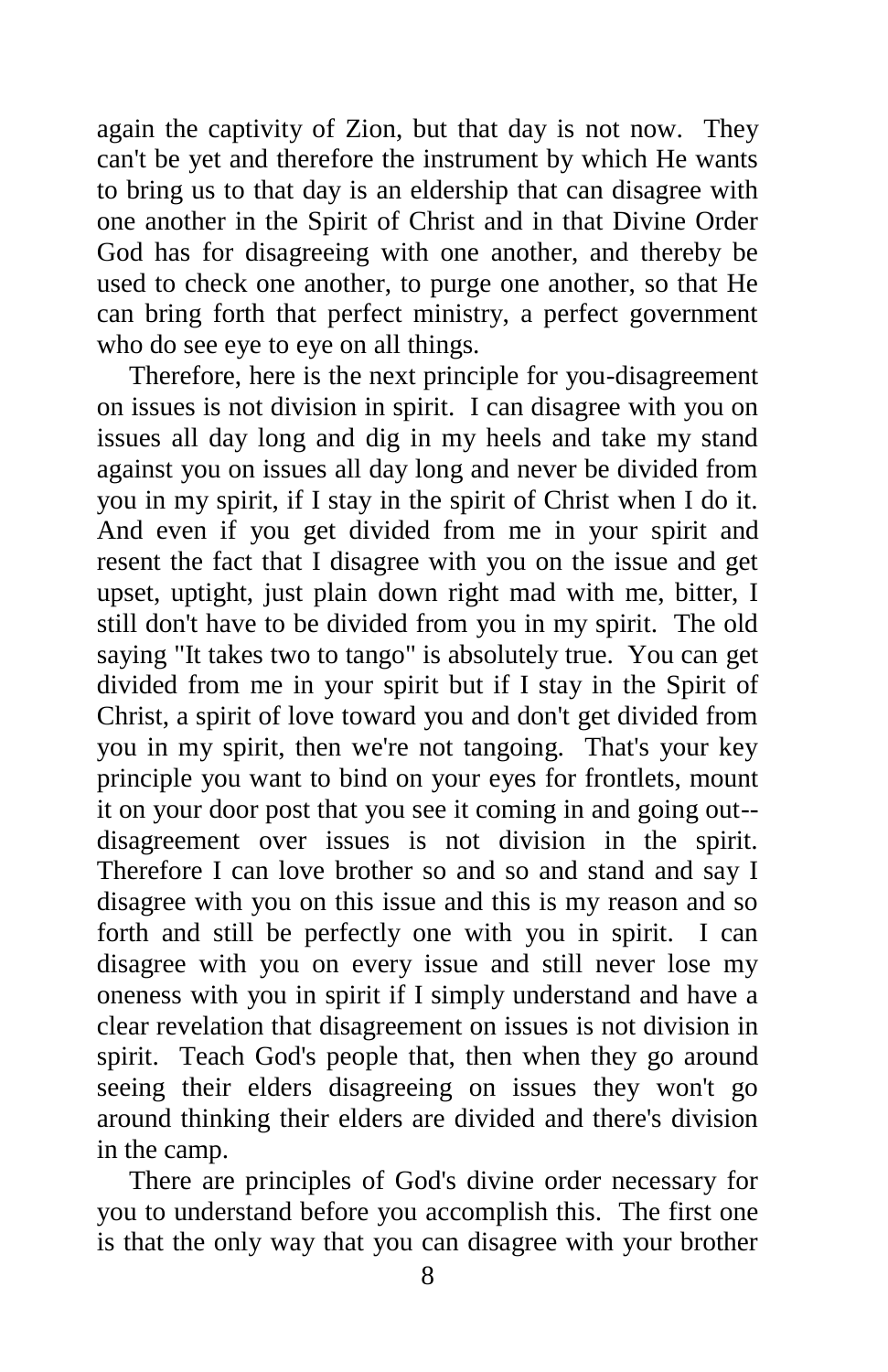again the captivity of Zion, but that day is not now. They can't be yet and therefore the instrument by which He wants to bring us to that day is an eldership that can disagree with one another in the Spirit of Christ and in that Divine Order God has for disagreeing with one another, and thereby be used to check one another, to purge one another, so that He can bring forth that perfect ministry, a perfect government who do see eye to eye on all things.

Therefore, here is the next principle for you-disagreement on issues is not division in spirit. I can disagree with you on issues all day long and dig in my heels and take my stand against you on issues all day long and never be divided from you in my spirit, if I stay in the spirit of Christ when I do it. And even if you get divided from me in your spirit and resent the fact that I disagree with you on the issue and get upset, uptight, just plain down right mad with me, bitter, I still don't have to be divided from you in my spirit. The old saying "It takes two to tango" is absolutely true. You can get divided from me in your spirit but if I stay in the Spirit of Christ, a spirit of love toward you and don't get divided from you in my spirit, then we're not tangoing. That's your key principle you want to bind on your eyes for frontlets, mount it on your door post that you see it coming in and going out- disagreement over issues is not division in the spirit. Therefore I can love brother so and so and stand and say I disagree with you on this issue and this is my reason and so forth and still be perfectly one with you in spirit. I can disagree with you on every issue and still never lose my oneness with you in spirit if I simply understand and have a clear revelation that disagreement on issues is not division in spirit. Teach God's people that, then when they go around seeing their elders disagreeing on issues they won't go around thinking their elders are divided and there's division in the camp.

There are principles of God's divine order necessary for you to understand before you accomplish this. The first one is that the only way that you can disagree with your brother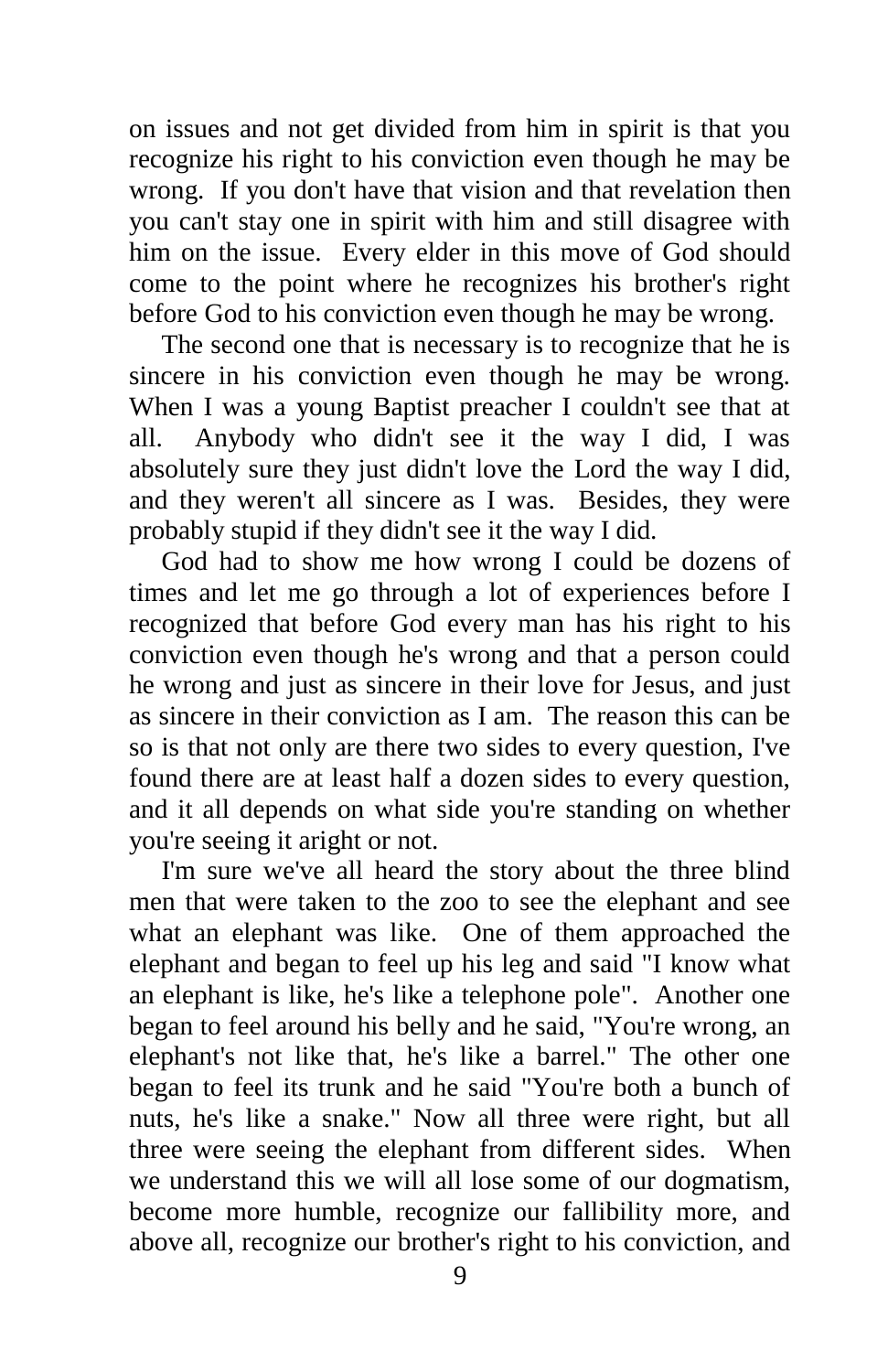on issues and not get divided from him in spirit is that you recognize his right to his conviction even though he may be wrong. If you don't have that vision and that revelation then you can't stay one in spirit with him and still disagree with him on the issue. Every elder in this move of God should come to the point where he recognizes his brother's right before God to his conviction even though he may be wrong.

The second one that is necessary is to recognize that he is sincere in his conviction even though he may be wrong. When I was a young Baptist preacher I couldn't see that at all. Anybody who didn't see it the way I did, I was absolutely sure they just didn't love the Lord the way I did, and they weren't all sincere as I was. Besides, they were probably stupid if they didn't see it the way I did.

God had to show me how wrong I could be dozens of times and let me go through a lot of experiences before I recognized that before God every man has his right to his conviction even though he's wrong and that a person could he wrong and just as sincere in their love for Jesus, and just as sincere in their conviction as I am. The reason this can be so is that not only are there two sides to every question, I've found there are at least half a dozen sides to every question, and it all depends on what side you're standing on whether you're seeing it aright or not.

I'm sure we've all heard the story about the three blind men that were taken to the zoo to see the elephant and see what an elephant was like. One of them approached the elephant and began to feel up his leg and said "I know what an elephant is like, he's like a telephone pole". Another one began to feel around his belly and he said, "You're wrong, an elephant's not like that, he's like a barrel." The other one began to feel its trunk and he said "You're both a bunch of nuts, he's like a snake." Now all three were right, but all three were seeing the elephant from different sides. When we understand this we will all lose some of our dogmatism, become more humble, recognize our fallibility more, and above all, recognize our brother's right to his conviction, and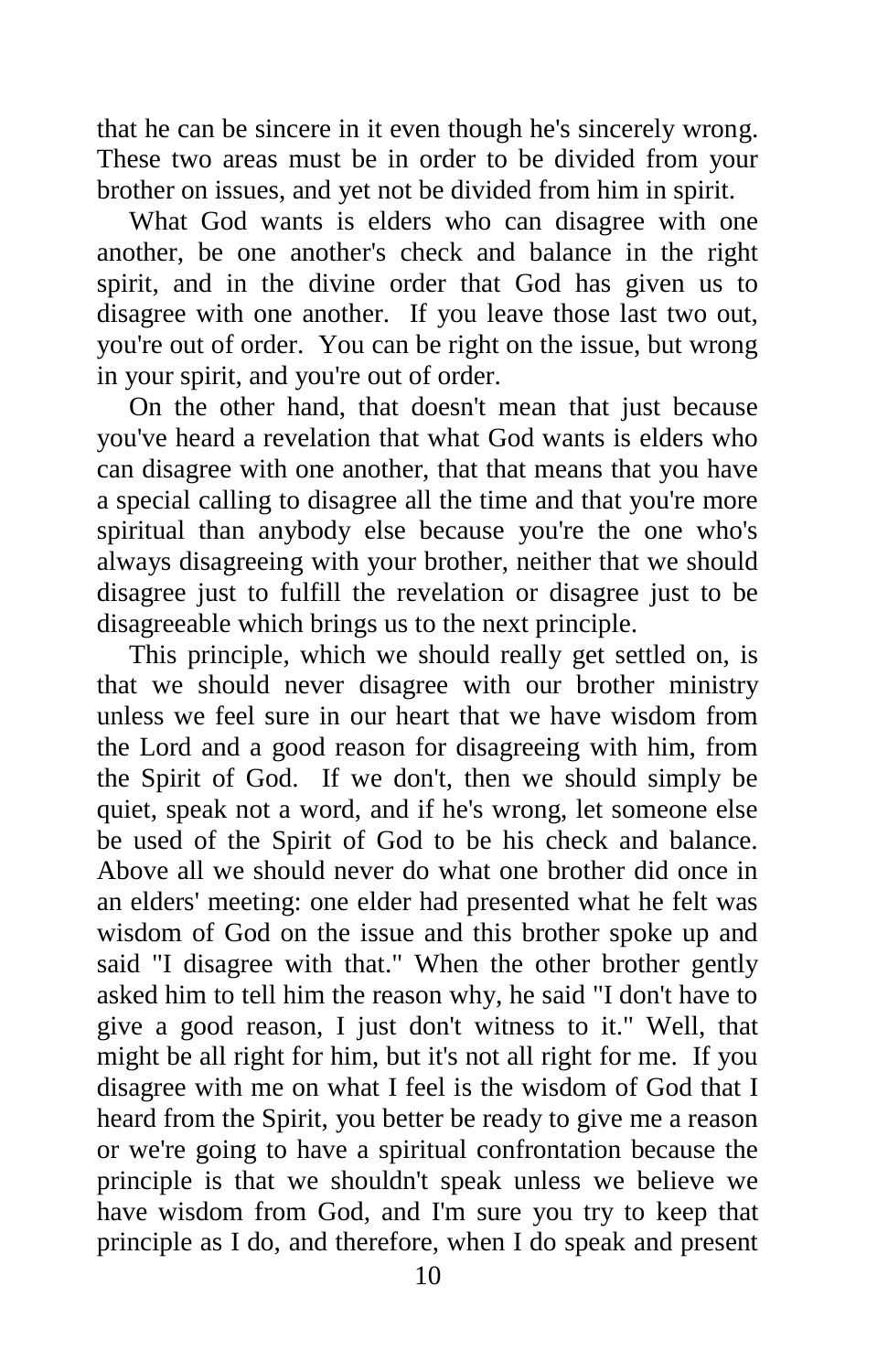that he can be sincere in it even though he's sincerely wrong. These two areas must be in order to be divided from your brother on issues, and yet not be divided from him in spirit.

What God wants is elders who can disagree with one another, be one another's check and balance in the right spirit, and in the divine order that God has given us to disagree with one another. If you leave those last two out, you're out of order. You can be right on the issue, but wrong in your spirit, and you're out of order.

On the other hand, that doesn't mean that just because you've heard a revelation that what God wants is elders who can disagree with one another, that that means that you have a special calling to disagree all the time and that you're more spiritual than anybody else because you're the one who's always disagreeing with your brother, neither that we should disagree just to fulfill the revelation or disagree just to be disagreeable which brings us to the next principle.

This principle, which we should really get settled on, is that we should never disagree with our brother ministry unless we feel sure in our heart that we have wisdom from the Lord and a good reason for disagreeing with him, from the Spirit of God. If we don't, then we should simply be quiet, speak not a word, and if he's wrong, let someone else be used of the Spirit of God to be his check and balance. Above all we should never do what one brother did once in an elders' meeting: one elder had presented what he felt was wisdom of God on the issue and this brother spoke up and said "I disagree with that." When the other brother gently asked him to tell him the reason why, he said "I don't have to give a good reason, I just don't witness to it." Well, that might be all right for him, but it's not all right for me. If you disagree with me on what I feel is the wisdom of God that I heard from the Spirit, you better be ready to give me a reason or we're going to have a spiritual confrontation because the principle is that we shouldn't speak unless we believe we have wisdom from God, and I'm sure you try to keep that principle as I do, and therefore, when I do speak and present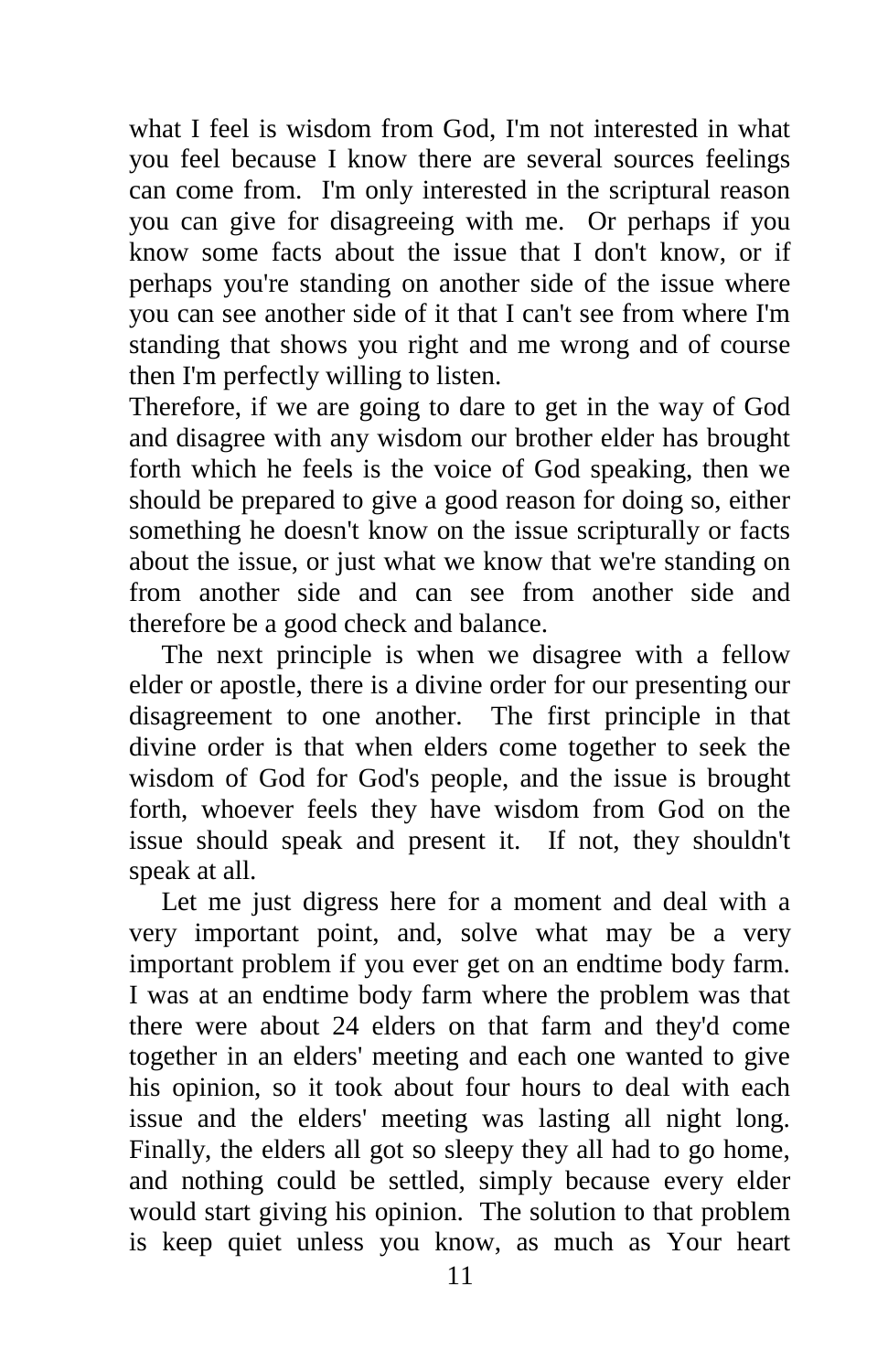what I feel is wisdom from God, I'm not interested in what you feel because I know there are several sources feelings can come from. I'm only interested in the scriptural reason you can give for disagreeing with me. Or perhaps if you know some facts about the issue that I don't know, or if perhaps you're standing on another side of the issue where you can see another side of it that I can't see from where I'm standing that shows you right and me wrong and of course then I'm perfectly willing to listen.

Therefore, if we are going to dare to get in the way of God and disagree with any wisdom our brother elder has brought forth which he feels is the voice of God speaking, then we should be prepared to give a good reason for doing so, either something he doesn't know on the issue scripturally or facts about the issue, or just what we know that we're standing on from another side and can see from another side and therefore be a good check and balance.

The next principle is when we disagree with a fellow elder or apostle, there is a divine order for our presenting our disagreement to one another. The first principle in that divine order is that when elders come together to seek the wisdom of God for God's people, and the issue is brought forth, whoever feels they have wisdom from God on the issue should speak and present it. If not, they shouldn't speak at all.

Let me just digress here for a moment and deal with a very important point, and, solve what may be a very important problem if you ever get on an endtime body farm. I was at an endtime body farm where the problem was that there were about 24 elders on that farm and they'd come together in an elders' meeting and each one wanted to give his opinion, so it took about four hours to deal with each issue and the elders' meeting was lasting all night long. Finally, the elders all got so sleepy they all had to go home, and nothing could be settled, simply because every elder would start giving his opinion. The solution to that problem is keep quiet unless you know, as much as Your heart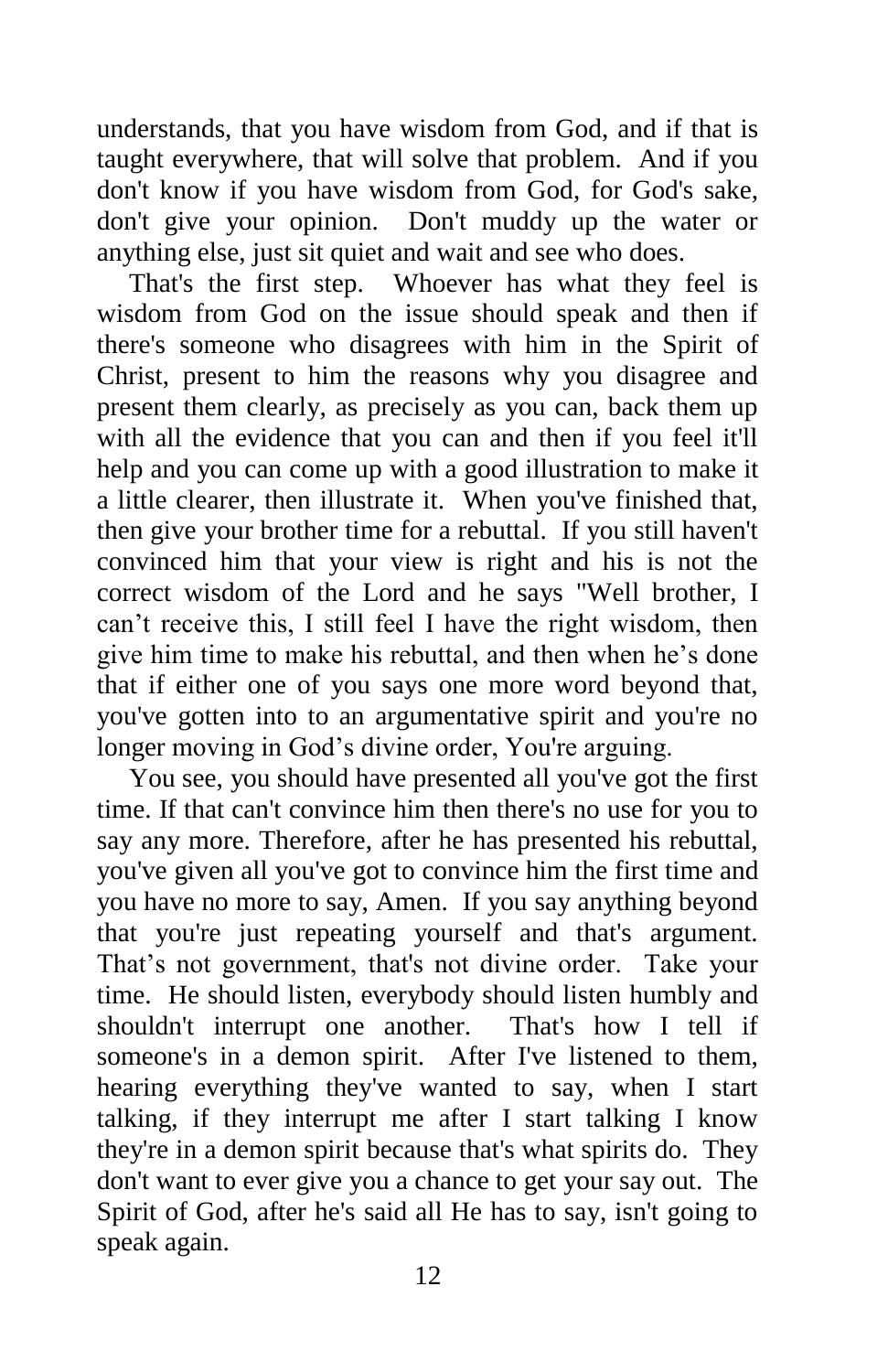understands, that you have wisdom from God, and if that is taught everywhere, that will solve that problem. And if you don't know if you have wisdom from God, for God's sake, don't give your opinion. Don't muddy up the water or anything else, just sit quiet and wait and see who does.

That's the first step. Whoever has what they feel is wisdom from God on the issue should speak and then if there's someone who disagrees with him in the Spirit of Christ, present to him the reasons why you disagree and present them clearly, as precisely as you can, back them up with all the evidence that you can and then if you feel it'll help and you can come up with a good illustration to make it a little clearer, then illustrate it. When you've finished that, then give your brother time for a rebuttal. If you still haven't convinced him that your view is right and his is not the correct wisdom of the Lord and he says "Well brother, I can't receive this, I still feel I have the right wisdom, then give him time to make his rebuttal, and then when he's done that if either one of you says one more word beyond that, you've gotten into to an argumentative spirit and you're no longer moving in God's divine order, You're arguing.

You see, you should have presented all you've got the first time. If that can't convince him then there's no use for you to say any more. Therefore, after he has presented his rebuttal, you've given all you've got to convince him the first time and you have no more to say, Amen. If you say anything beyond that you're just repeating yourself and that's argument. That's not government, that's not divine order. Take your time. He should listen, everybody should listen humbly and shouldn't interrupt one another. That's how I tell if someone's in a demon spirit. After I've listened to them, hearing everything they've wanted to say, when I start talking, if they interrupt me after I start talking I know they're in a demon spirit because that's what spirits do. They don't want to ever give you a chance to get your say out. The Spirit of God, after he's said all He has to say, isn't going to speak again.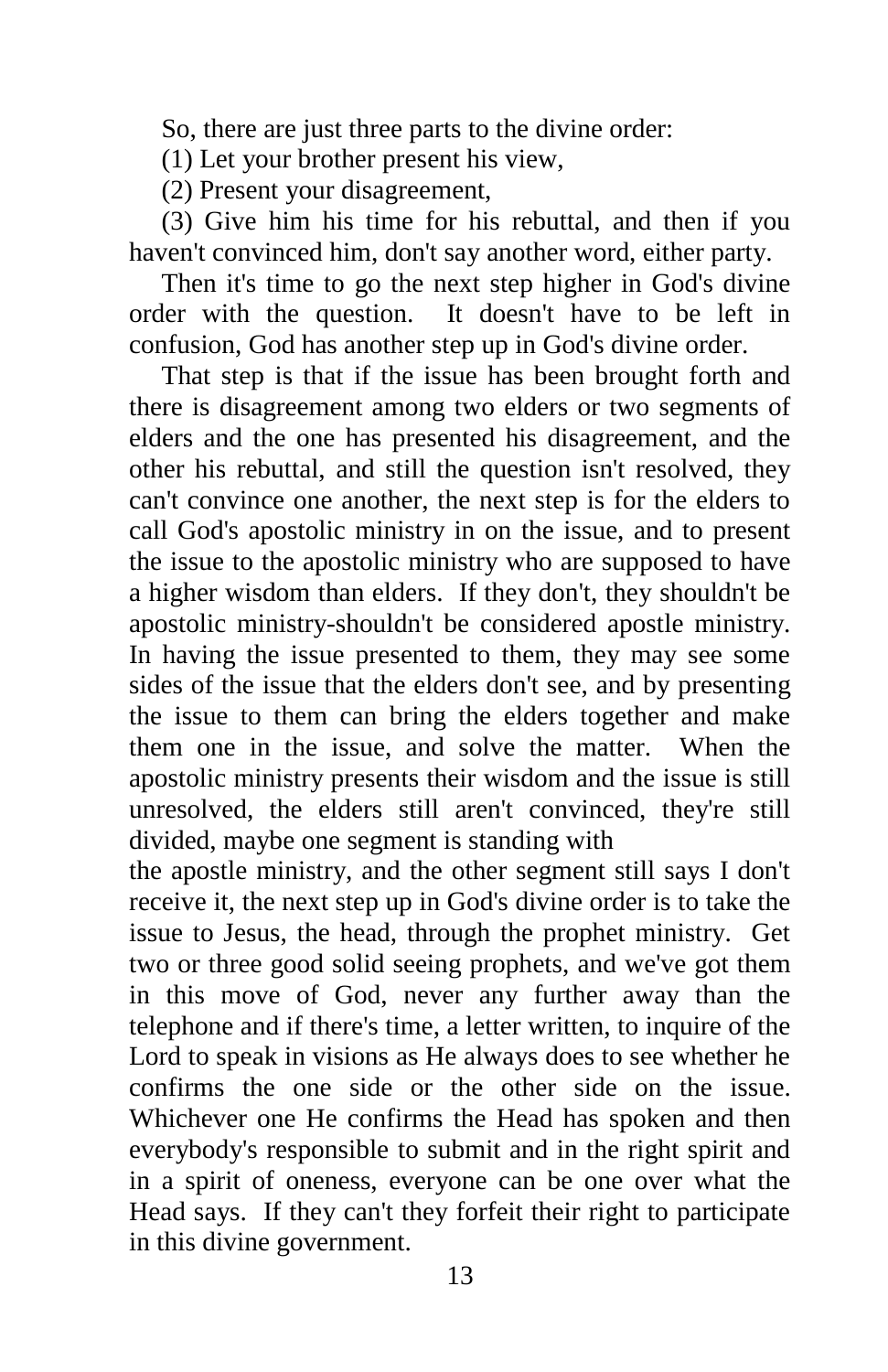So, there are just three parts to the divine order:

(1) Let your brother present his view,

(2) Present your disagreement,

(3) Give him his time for his rebuttal, and then if you haven't convinced him, don't say another word, either party.

Then it's time to go the next step higher in God's divine order with the question. It doesn't have to be left in confusion, God has another step up in God's divine order.

That step is that if the issue has been brought forth and there is disagreement among two elders or two segments of elders and the one has presented his disagreement, and the other his rebuttal, and still the question isn't resolved, they can't convince one another, the next step is for the elders to call God's apostolic ministry in on the issue, and to present the issue to the apostolic ministry who are supposed to have a higher wisdom than elders. If they don't, they shouldn't be apostolic ministry-shouldn't be considered apostle ministry. In having the issue presented to them, they may see some sides of the issue that the elders don't see, and by presenting the issue to them can bring the elders together and make them one in the issue, and solve the matter. When the apostolic ministry presents their wisdom and the issue is still unresolved, the elders still aren't convinced, they're still divided, maybe one segment is standing with

the apostle ministry, and the other segment still says I don't receive it, the next step up in God's divine order is to take the issue to Jesus, the head, through the prophet ministry. Get two or three good solid seeing prophets, and we've got them in this move of God, never any further away than the telephone and if there's time, a letter written, to inquire of the Lord to speak in visions as He always does to see whether he confirms the one side or the other side on the issue. Whichever one He confirms the Head has spoken and then everybody's responsible to submit and in the right spirit and in a spirit of oneness, everyone can be one over what the Head says. If they can't they forfeit their right to participate in this divine government.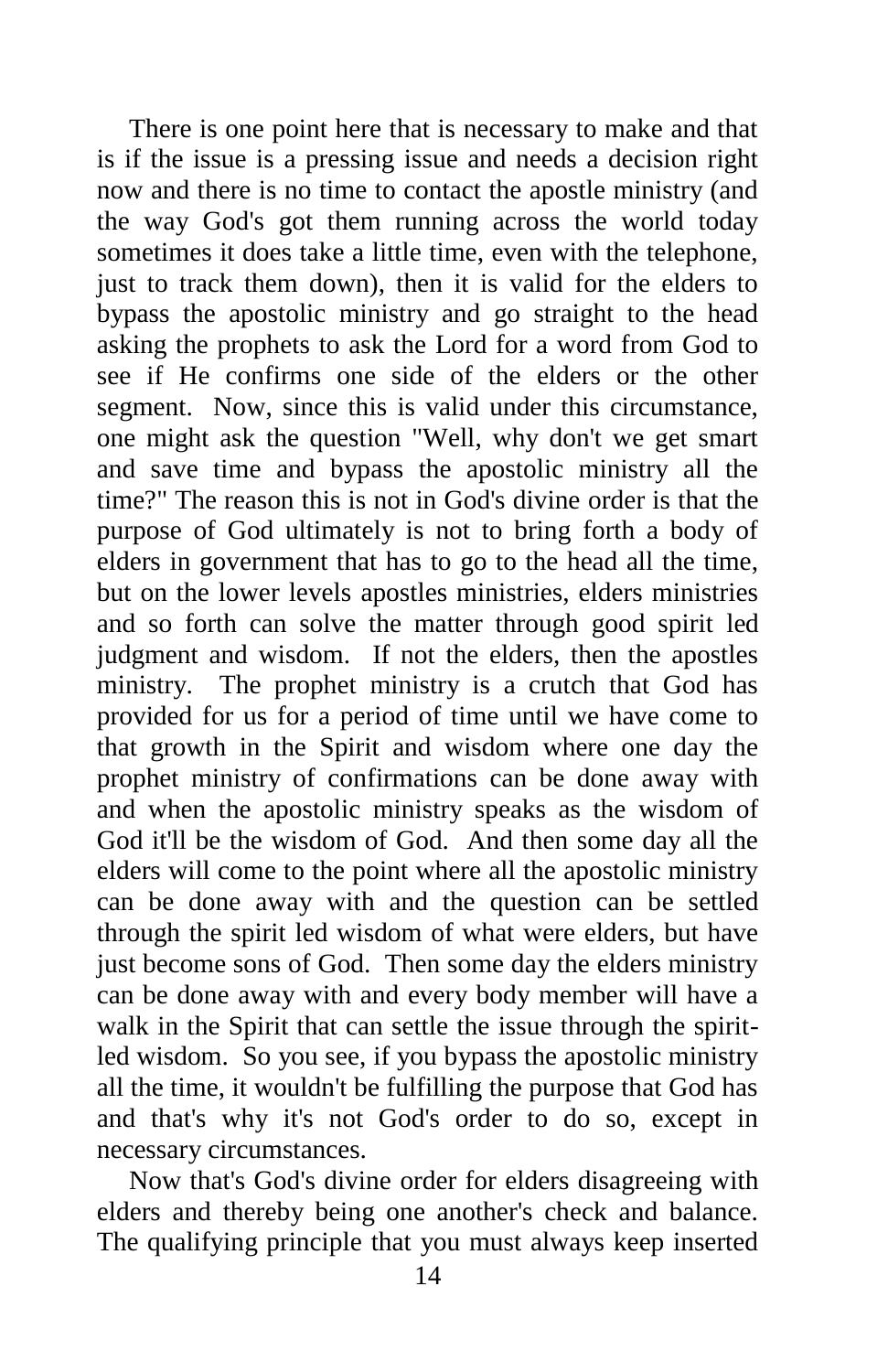There is one point here that is necessary to make and that is if the issue is a pressing issue and needs a decision right now and there is no time to contact the apostle ministry (and the way God's got them running across the world today sometimes it does take a little time, even with the telephone, just to track them down), then it is valid for the elders to bypass the apostolic ministry and go straight to the head asking the prophets to ask the Lord for a word from God to see if He confirms one side of the elders or the other segment. Now, since this is valid under this circumstance, one might ask the question "Well, why don't we get smart and save time and bypass the apostolic ministry all the time?" The reason this is not in God's divine order is that the purpose of God ultimately is not to bring forth a body of elders in government that has to go to the head all the time, but on the lower levels apostles ministries, elders ministries and so forth can solve the matter through good spirit led judgment and wisdom. If not the elders, then the apostles ministry. The prophet ministry is a crutch that God has provided for us for a period of time until we have come to that growth in the Spirit and wisdom where one day the prophet ministry of confirmations can be done away with and when the apostolic ministry speaks as the wisdom of God it'll be the wisdom of God. And then some day all the elders will come to the point where all the apostolic ministry can be done away with and the question can be settled through the spirit led wisdom of what were elders, but have just become sons of God. Then some day the elders ministry can be done away with and every body member will have a walk in the Spirit that can settle the issue through the spiritled wisdom. So you see, if you bypass the apostolic ministry all the time, it wouldn't be fulfilling the purpose that God has and that's why it's not God's order to do so, except in necessary circumstances.

Now that's God's divine order for elders disagreeing with elders and thereby being one another's check and balance. The qualifying principle that you must always keep inserted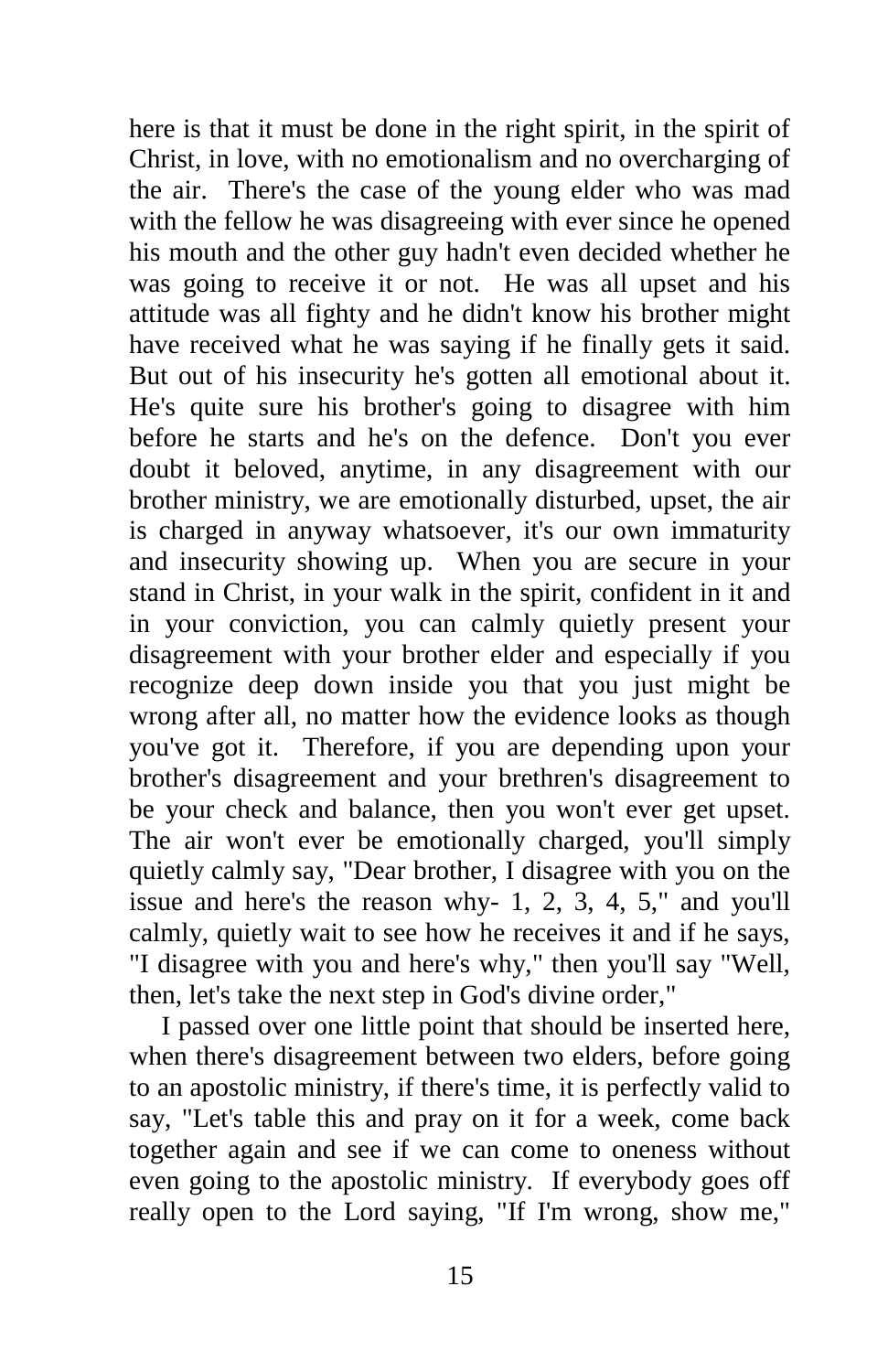here is that it must be done in the right spirit, in the spirit of Christ, in love, with no emotionalism and no overcharging of the air. There's the case of the young elder who was mad with the fellow he was disagreeing with ever since he opened his mouth and the other guy hadn't even decided whether he was going to receive it or not. He was all upset and his attitude was all fighty and he didn't know his brother might have received what he was saying if he finally gets it said. But out of his insecurity he's gotten all emotional about it. He's quite sure his brother's going to disagree with him before he starts and he's on the defence. Don't you ever doubt it beloved, anytime, in any disagreement with our brother ministry, we are emotionally disturbed, upset, the air is charged in anyway whatsoever, it's our own immaturity and insecurity showing up. When you are secure in your stand in Christ, in your walk in the spirit, confident in it and in your conviction, you can calmly quietly present your disagreement with your brother elder and especially if you recognize deep down inside you that you just might be wrong after all, no matter how the evidence looks as though you've got it. Therefore, if you are depending upon your brother's disagreement and your brethren's disagreement to be your check and balance, then you won't ever get upset. The air won't ever be emotionally charged, you'll simply quietly calmly say, "Dear brother, I disagree with you on the issue and here's the reason why- 1, 2, 3, 4, 5," and you'll calmly, quietly wait to see how he receives it and if he says, "I disagree with you and here's why," then you'll say "Well, then, let's take the next step in God's divine order,"

I passed over one little point that should be inserted here, when there's disagreement between two elders, before going to an apostolic ministry, if there's time, it is perfectly valid to say, "Let's table this and pray on it for a week, come back together again and see if we can come to oneness without even going to the apostolic ministry. If everybody goes off really open to the Lord saying, "If I'm wrong, show me,"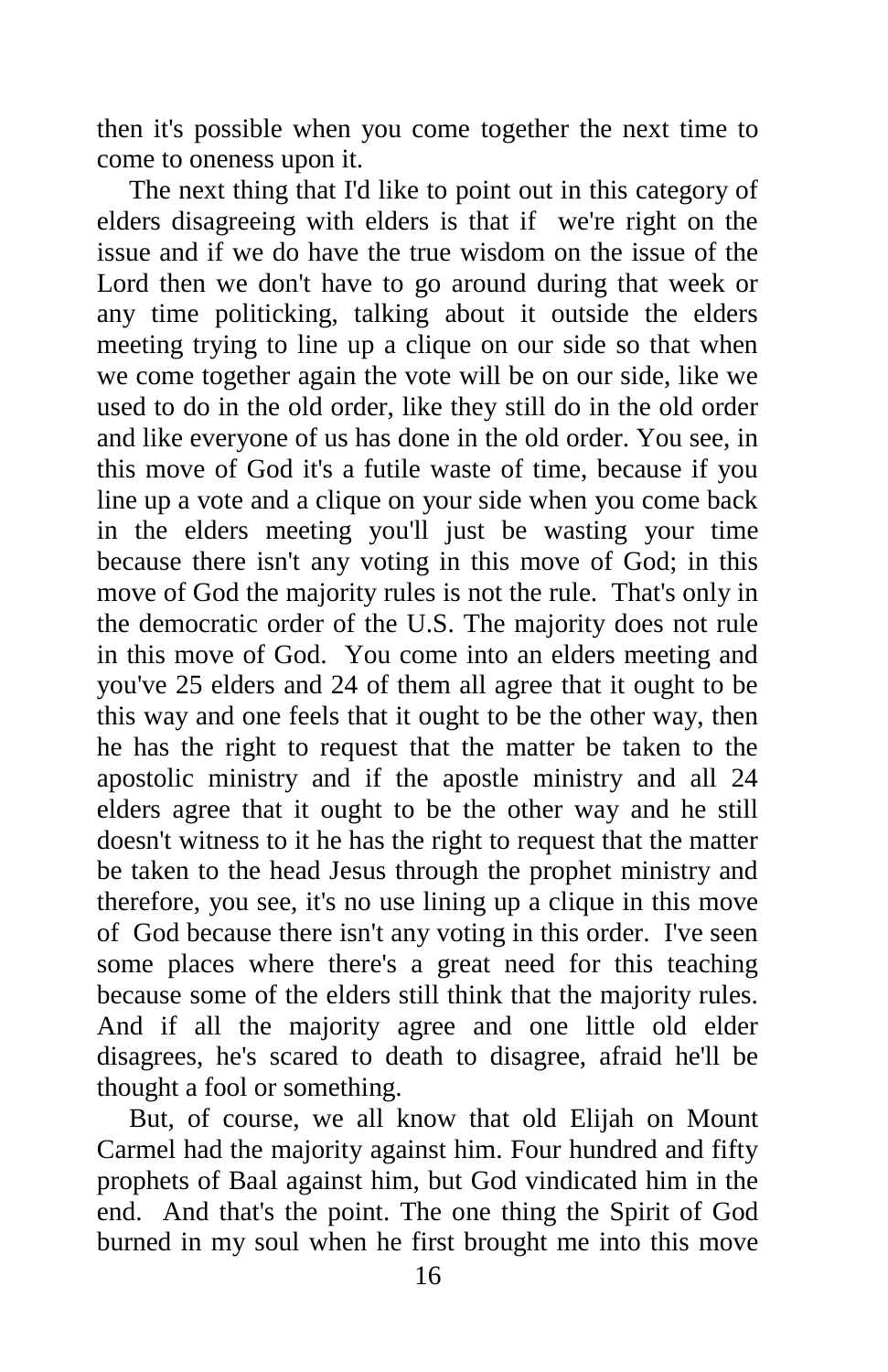then it's possible when you come together the next time to come to oneness upon it.

The next thing that I'd like to point out in this category of elders disagreeing with elders is that if we're right on the issue and if we do have the true wisdom on the issue of the Lord then we don't have to go around during that week or any time politicking, talking about it outside the elders meeting trying to line up a clique on our side so that when we come together again the vote will be on our side, like we used to do in the old order, like they still do in the old order and like everyone of us has done in the old order. You see, in this move of God it's a futile waste of time, because if you line up a vote and a clique on your side when you come back in the elders meeting you'll just be wasting your time because there isn't any voting in this move of God; in this move of God the majority rules is not the rule. That's only in the democratic order of the U.S. The majority does not rule in this move of God. You come into an elders meeting and you've 25 elders and 24 of them all agree that it ought to be this way and one feels that it ought to be the other way, then he has the right to request that the matter be taken to the apostolic ministry and if the apostle ministry and all 24 elders agree that it ought to be the other way and he still doesn't witness to it he has the right to request that the matter be taken to the head Jesus through the prophet ministry and therefore, you see, it's no use lining up a clique in this move of God because there isn't any voting in this order. I've seen some places where there's a great need for this teaching because some of the elders still think that the majority rules. And if all the majority agree and one little old elder disagrees, he's scared to death to disagree, afraid he'll be thought a fool or something.

But, of course, we all know that old Elijah on Mount Carmel had the majority against him. Four hundred and fifty prophets of Baal against him, but God vindicated him in the end. And that's the point. The one thing the Spirit of God burned in my soul when he first brought me into this move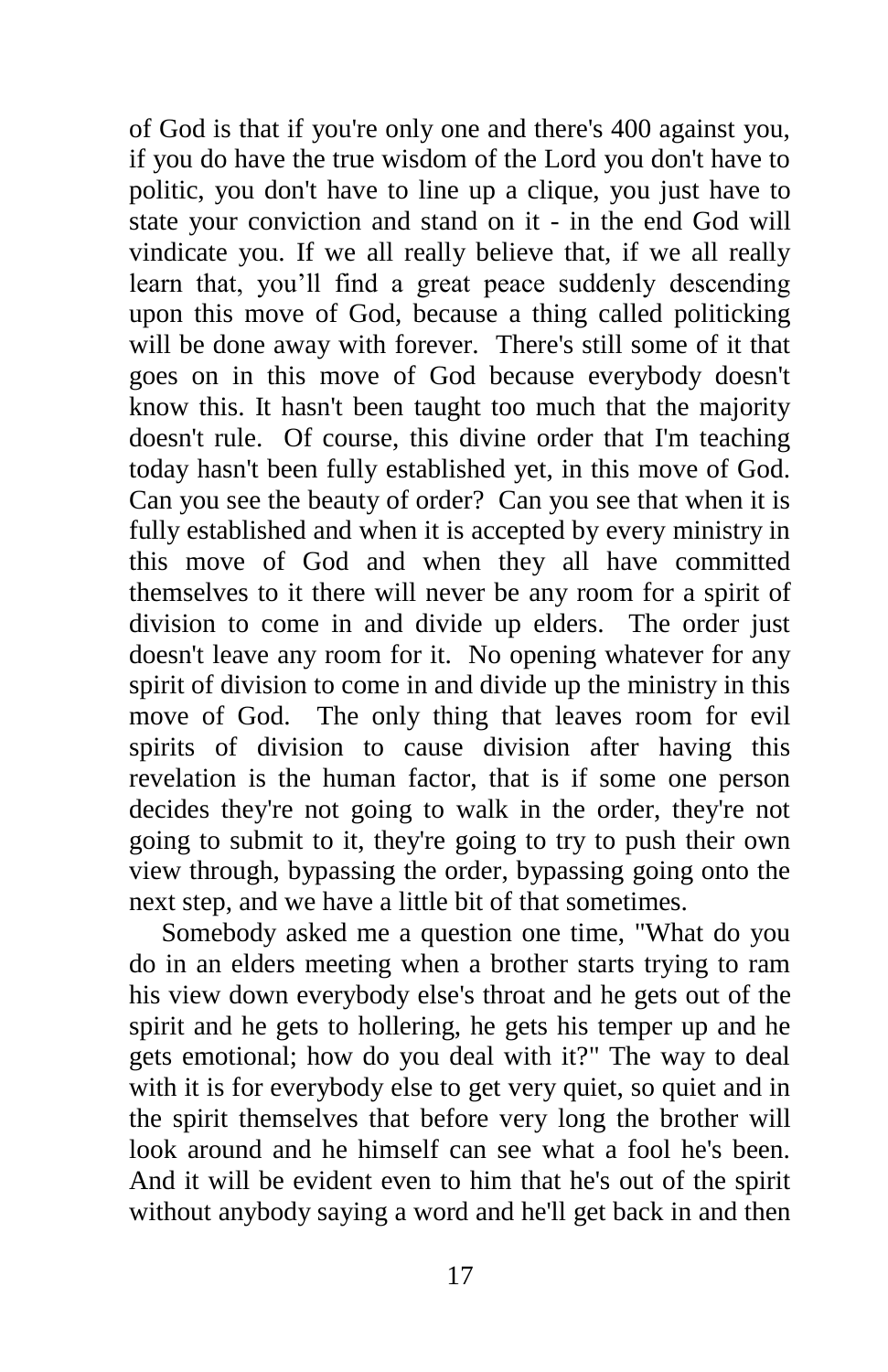of God is that if you're only one and there's 400 against you, if you do have the true wisdom of the Lord you don't have to politic, you don't have to line up a clique, you just have to state your conviction and stand on it - in the end God will vindicate you. If we all really believe that, if we all really learn that, you'll find a great peace suddenly descending upon this move of God, because a thing called politicking will be done away with forever. There's still some of it that goes on in this move of God because everybody doesn't know this. It hasn't been taught too much that the majority doesn't rule. Of course, this divine order that I'm teaching today hasn't been fully established yet, in this move of God. Can you see the beauty of order? Can you see that when it is fully established and when it is accepted by every ministry in this move of God and when they all have committed themselves to it there will never be any room for a spirit of division to come in and divide up elders. The order just doesn't leave any room for it. No opening whatever for any spirit of division to come in and divide up the ministry in this move of God. The only thing that leaves room for evil spirits of division to cause division after having this revelation is the human factor, that is if some one person decides they're not going to walk in the order, they're not going to submit to it, they're going to try to push their own view through, bypassing the order, bypassing going onto the next step, and we have a little bit of that sometimes.

Somebody asked me a question one time, "What do you do in an elders meeting when a brother starts trying to ram his view down everybody else's throat and he gets out of the spirit and he gets to hollering, he gets his temper up and he gets emotional; how do you deal with it?" The way to deal with it is for everybody else to get very quiet, so quiet and in the spirit themselves that before very long the brother will look around and he himself can see what a fool he's been. And it will be evident even to him that he's out of the spirit without anybody saying a word and he'll get back in and then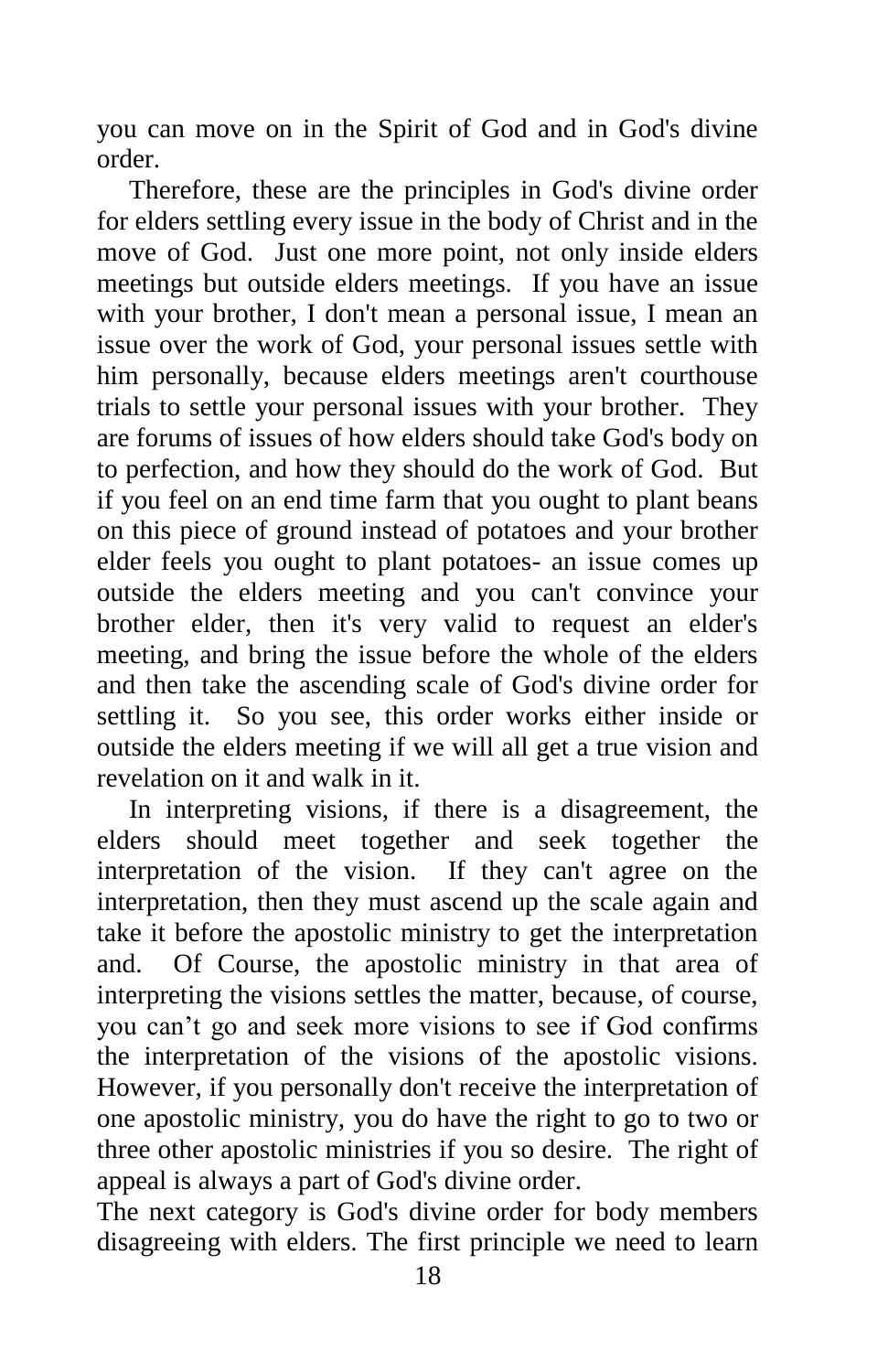you can move on in the Spirit of God and in God's divine order.

Therefore, these are the principles in God's divine order for elders settling every issue in the body of Christ and in the move of God. Just one more point, not only inside elders meetings but outside elders meetings. If you have an issue with your brother, I don't mean a personal issue, I mean an issue over the work of God, your personal issues settle with him personally, because elders meetings aren't courthouse trials to settle your personal issues with your brother. They are forums of issues of how elders should take God's body on to perfection, and how they should do the work of God. But if you feel on an end time farm that you ought to plant beans on this piece of ground instead of potatoes and your brother elder feels you ought to plant potatoes- an issue comes up outside the elders meeting and you can't convince your brother elder, then it's very valid to request an elder's meeting, and bring the issue before the whole of the elders and then take the ascending scale of God's divine order for settling it. So you see, this order works either inside or outside the elders meeting if we will all get a true vision and revelation on it and walk in it.

In interpreting visions, if there is a disagreement, the elders should meet together and seek together the interpretation of the vision. If they can't agree on the interpretation, then they must ascend up the scale again and take it before the apostolic ministry to get the interpretation and. Of Course, the apostolic ministry in that area of interpreting the visions settles the matter, because, of course, you can't go and seek more visions to see if God confirms the interpretation of the visions of the apostolic visions. However, if you personally don't receive the interpretation of one apostolic ministry, you do have the right to go to two or three other apostolic ministries if you so desire. The right of appeal is always a part of God's divine order.

The next category is God's divine order for body members disagreeing with elders. The first principle we need to learn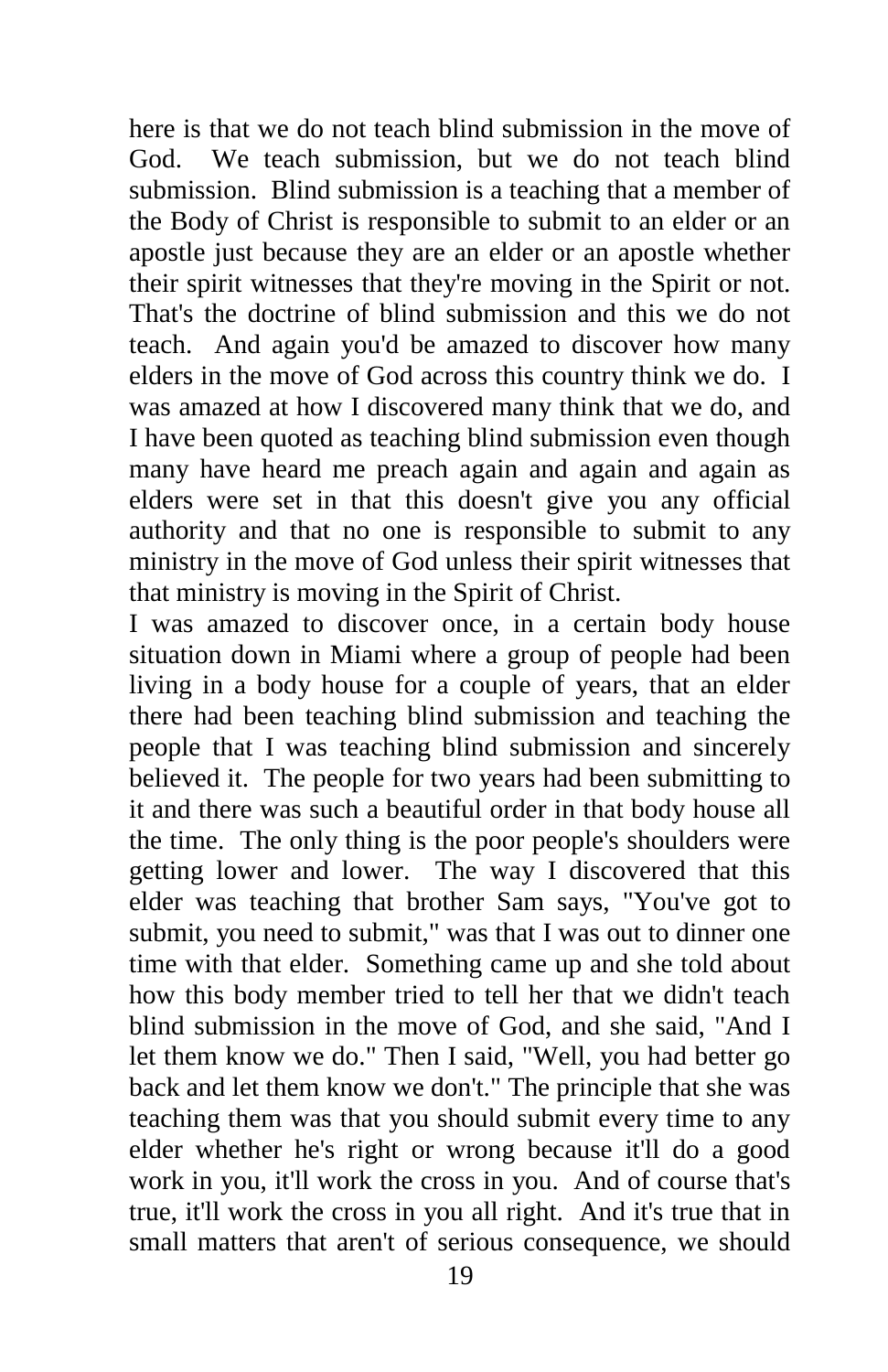here is that we do not teach blind submission in the move of God. We teach submission, but we do not teach blind submission. Blind submission is a teaching that a member of the Body of Christ is responsible to submit to an elder or an apostle just because they are an elder or an apostle whether their spirit witnesses that they're moving in the Spirit or not. That's the doctrine of blind submission and this we do not teach. And again you'd be amazed to discover how many elders in the move of God across this country think we do. I was amazed at how I discovered many think that we do, and I have been quoted as teaching blind submission even though many have heard me preach again and again and again as elders were set in that this doesn't give you any official authority and that no one is responsible to submit to any ministry in the move of God unless their spirit witnesses that that ministry is moving in the Spirit of Christ.

I was amazed to discover once, in a certain body house situation down in Miami where a group of people had been living in a body house for a couple of years, that an elder there had been teaching blind submission and teaching the people that I was teaching blind submission and sincerely believed it. The people for two years had been submitting to it and there was such a beautiful order in that body house all the time. The only thing is the poor people's shoulders were getting lower and lower. The way I discovered that this elder was teaching that brother Sam says, "You've got to submit, you need to submit," was that I was out to dinner one time with that elder. Something came up and she told about how this body member tried to tell her that we didn't teach blind submission in the move of God, and she said, "And I let them know we do." Then I said, "Well, you had better go back and let them know we don't." The principle that she was teaching them was that you should submit every time to any elder whether he's right or wrong because it'll do a good work in you, it'll work the cross in you. And of course that's true, it'll work the cross in you all right. And it's true that in small matters that aren't of serious consequence, we should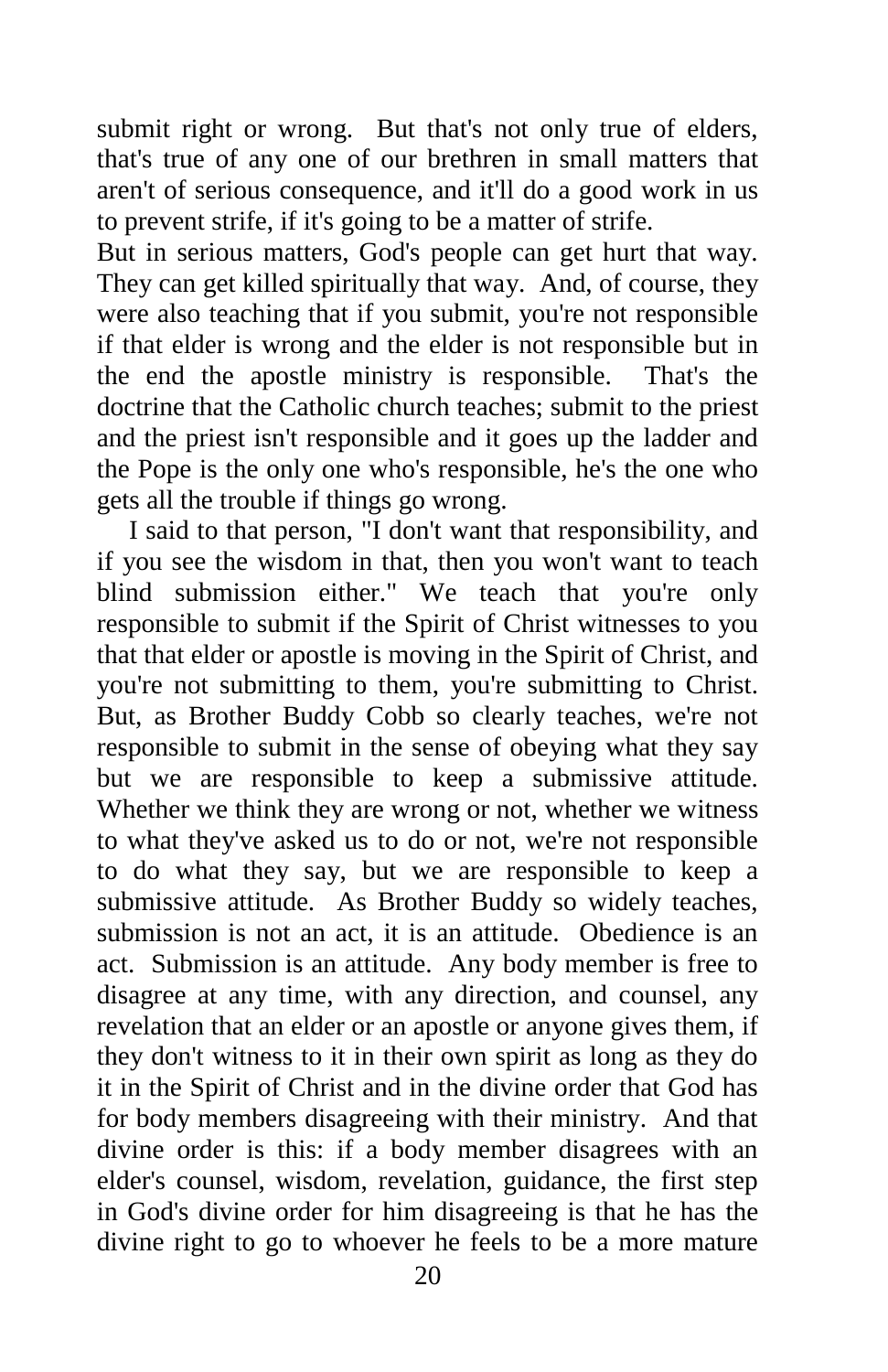submit right or wrong. But that's not only true of elders, that's true of any one of our brethren in small matters that aren't of serious consequence, and it'll do a good work in us to prevent strife, if it's going to be a matter of strife.

But in serious matters, God's people can get hurt that way. They can get killed spiritually that way. And, of course, they were also teaching that if you submit, you're not responsible if that elder is wrong and the elder is not responsible but in the end the apostle ministry is responsible. That's the doctrine that the Catholic church teaches; submit to the priest and the priest isn't responsible and it goes up the ladder and the Pope is the only one who's responsible, he's the one who gets all the trouble if things go wrong.

I said to that person, "I don't want that responsibility, and if you see the wisdom in that, then you won't want to teach blind submission either." We teach that you're only responsible to submit if the Spirit of Christ witnesses to you that that elder or apostle is moving in the Spirit of Christ, and you're not submitting to them, you're submitting to Christ. But, as Brother Buddy Cobb so clearly teaches, we're not responsible to submit in the sense of obeying what they say but we are responsible to keep a submissive attitude. Whether we think they are wrong or not, whether we witness to what they've asked us to do or not, we're not responsible to do what they say, but we are responsible to keep a submissive attitude. As Brother Buddy so widely teaches, submission is not an act, it is an attitude. Obedience is an act. Submission is an attitude. Any body member is free to disagree at any time, with any direction, and counsel, any revelation that an elder or an apostle or anyone gives them, if they don't witness to it in their own spirit as long as they do it in the Spirit of Christ and in the divine order that God has for body members disagreeing with their ministry. And that divine order is this: if a body member disagrees with an elder's counsel, wisdom, revelation, guidance, the first step in God's divine order for him disagreeing is that he has the divine right to go to whoever he feels to be a more mature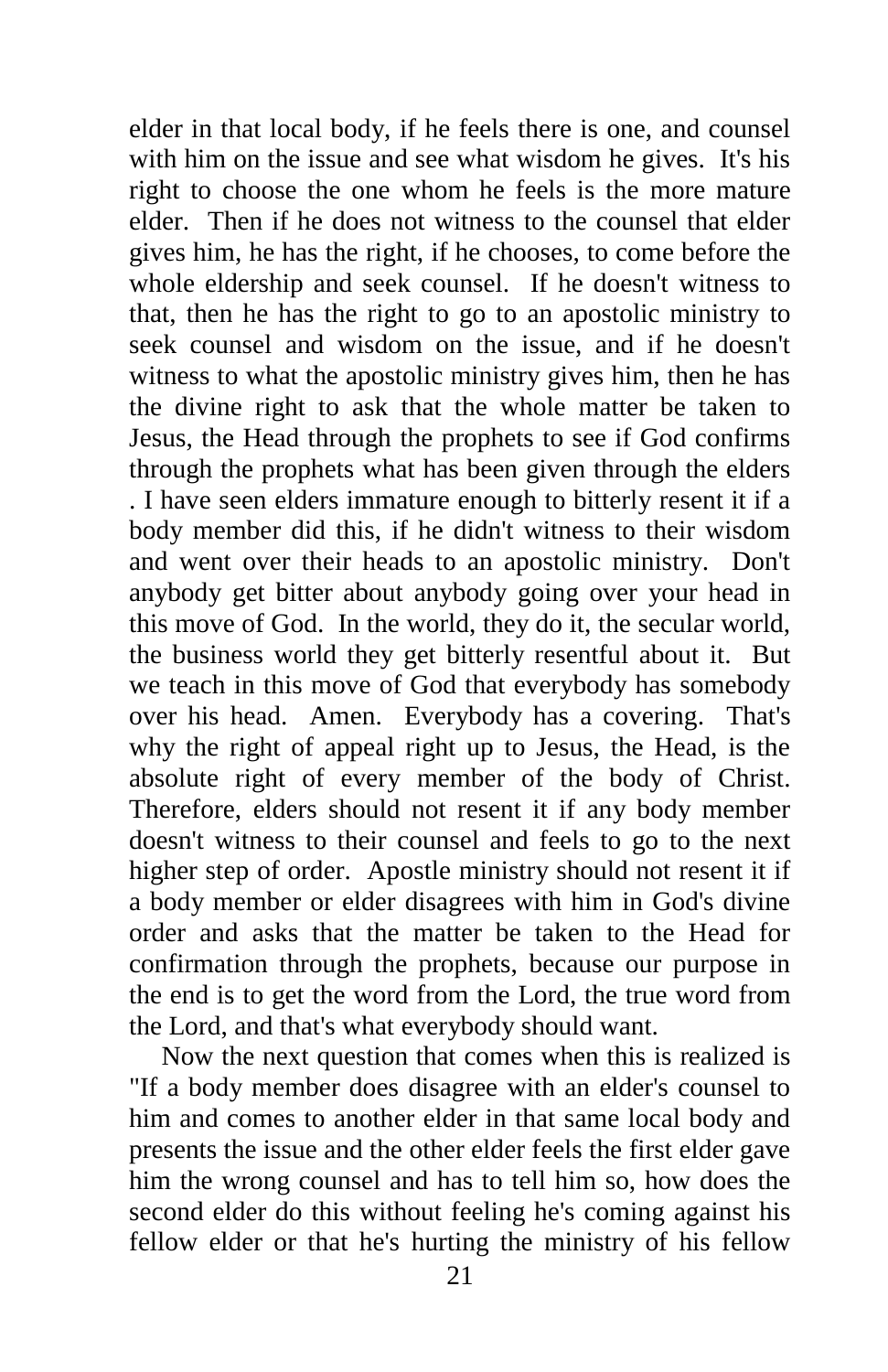elder in that local body, if he feels there is one, and counsel with him on the issue and see what wisdom he gives. It's his right to choose the one whom he feels is the more mature elder. Then if he does not witness to the counsel that elder gives him, he has the right, if he chooses, to come before the whole eldership and seek counsel. If he doesn't witness to that, then he has the right to go to an apostolic ministry to seek counsel and wisdom on the issue, and if he doesn't witness to what the apostolic ministry gives him, then he has the divine right to ask that the whole matter be taken to Jesus, the Head through the prophets to see if God confirms through the prophets what has been given through the elders . I have seen elders immature enough to bitterly resent it if a body member did this, if he didn't witness to their wisdom and went over their heads to an apostolic ministry. Don't anybody get bitter about anybody going over your head in this move of God. In the world, they do it, the secular world, the business world they get bitterly resentful about it. But we teach in this move of God that everybody has somebody over his head. Amen. Everybody has a covering. That's why the right of appeal right up to Jesus, the Head, is the absolute right of every member of the body of Christ. Therefore, elders should not resent it if any body member doesn't witness to their counsel and feels to go to the next higher step of order. Apostle ministry should not resent it if a body member or elder disagrees with him in God's divine order and asks that the matter be taken to the Head for confirmation through the prophets, because our purpose in the end is to get the word from the Lord, the true word from the Lord, and that's what everybody should want.

Now the next question that comes when this is realized is "If a body member does disagree with an elder's counsel to him and comes to another elder in that same local body and presents the issue and the other elder feels the first elder gave him the wrong counsel and has to tell him so, how does the second elder do this without feeling he's coming against his fellow elder or that he's hurting the ministry of his fellow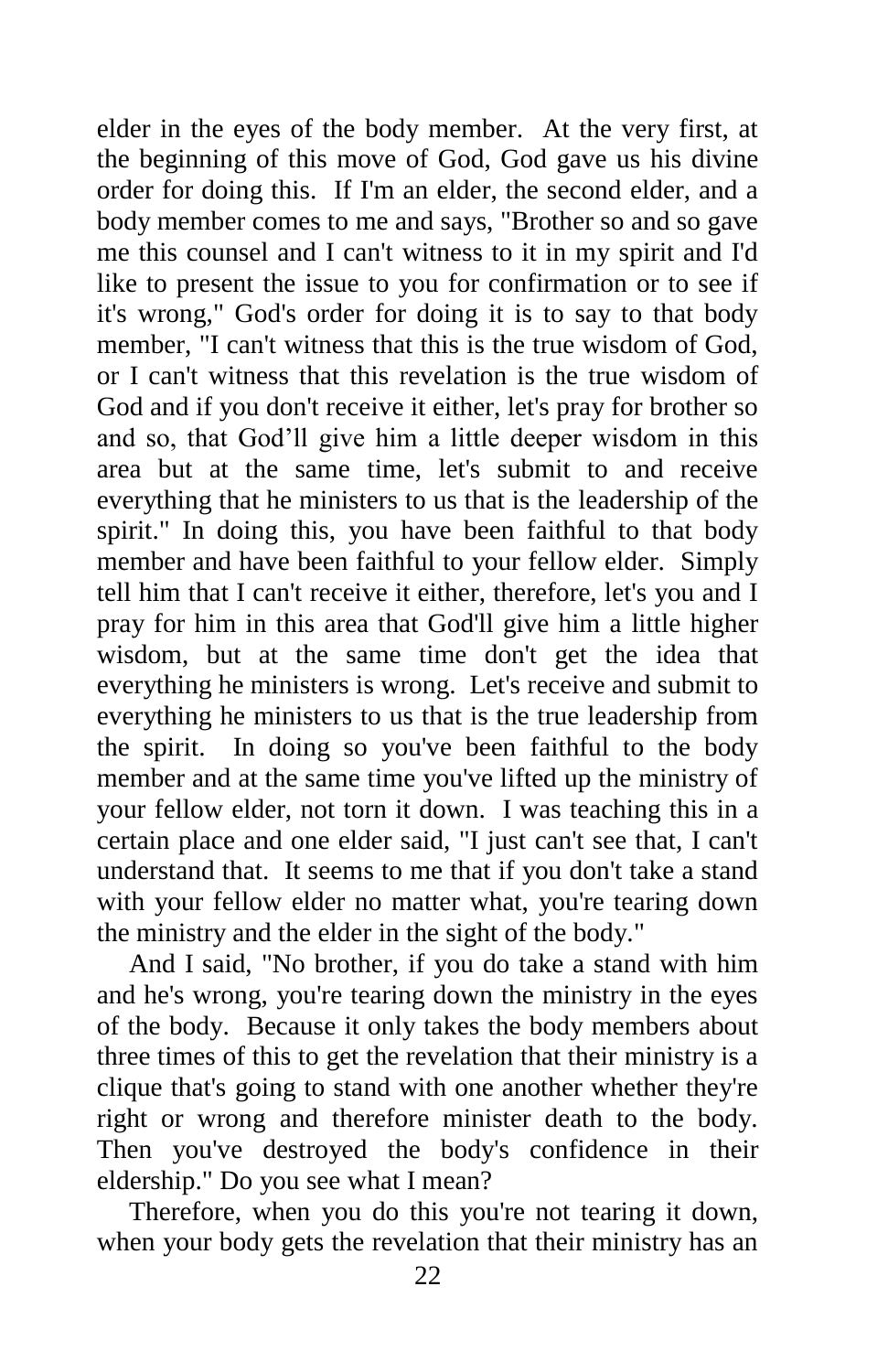elder in the eyes of the body member. At the very first, at the beginning of this move of God, God gave us his divine order for doing this. If I'm an elder, the second elder, and a body member comes to me and says, "Brother so and so gave me this counsel and I can't witness to it in my spirit and I'd like to present the issue to you for confirmation or to see if it's wrong," God's order for doing it is to say to that body member. "I can't witness that this is the true wisdom of God, or I can't witness that this revelation is the true wisdom of God and if you don't receive it either, let's pray for brother so and so, that God'll give him a little deeper wisdom in this area but at the same time, let's submit to and receive everything that he ministers to us that is the leadership of the spirit." In doing this, you have been faithful to that body member and have been faithful to your fellow elder. Simply tell him that I can't receive it either, therefore, let's you and I pray for him in this area that God'll give him a little higher wisdom, but at the same time don't get the idea that everything he ministers is wrong. Let's receive and submit to everything he ministers to us that is the true leadership from the spirit. In doing so you've been faithful to the body member and at the same time you've lifted up the ministry of your fellow elder, not torn it down. I was teaching this in a certain place and one elder said, "I just can't see that, I can't understand that. It seems to me that if you don't take a stand with your fellow elder no matter what, you're tearing down the ministry and the elder in the sight of the body."

And I said, "No brother, if you do take a stand with him and he's wrong, you're tearing down the ministry in the eyes of the body. Because it only takes the body members about three times of this to get the revelation that their ministry is a clique that's going to stand with one another whether they're right or wrong and therefore minister death to the body. Then you've destroyed the body's confidence in their eldership." Do you see what I mean?

Therefore, when you do this you're not tearing it down, when your body gets the revelation that their ministry has an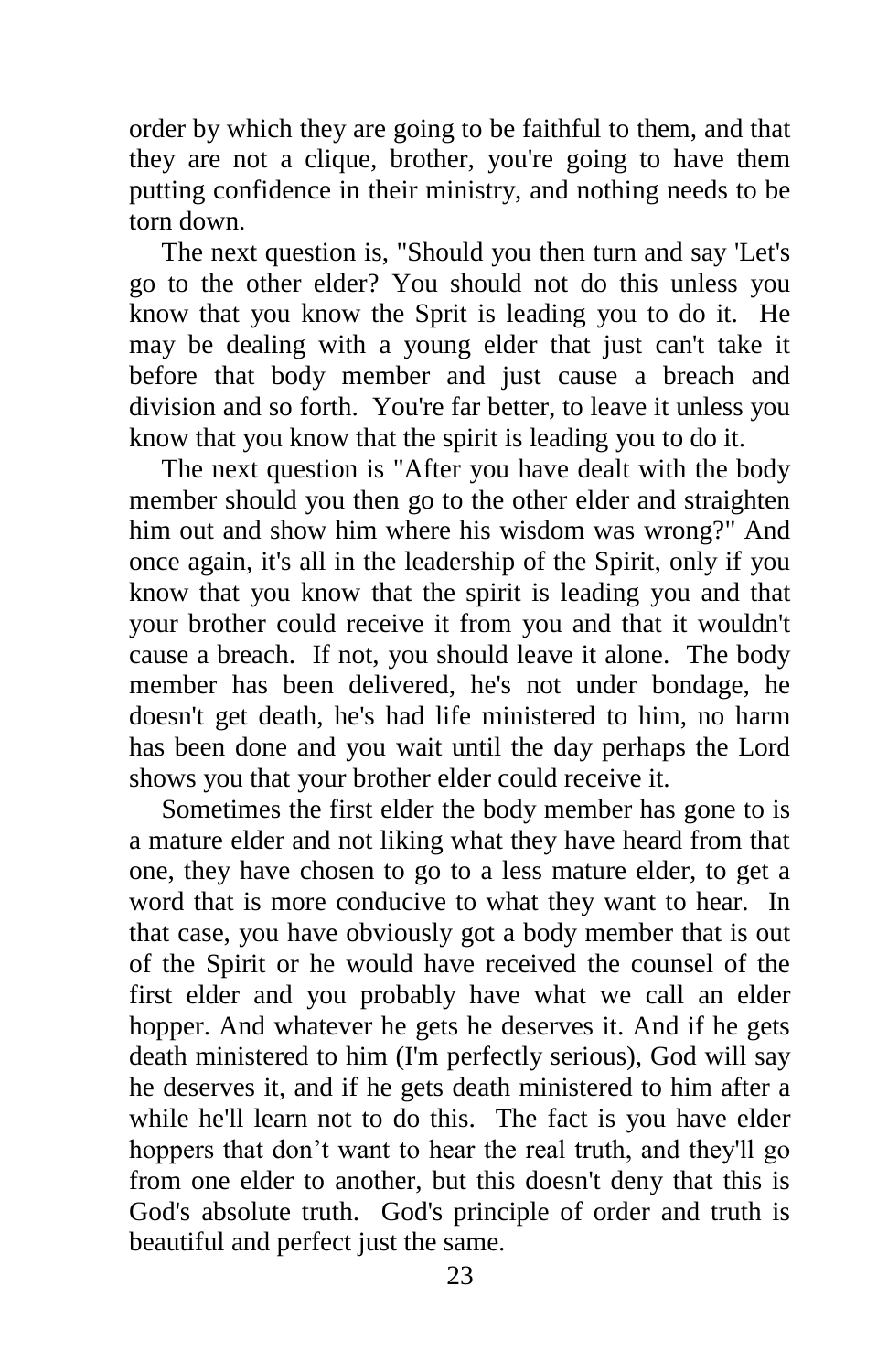order by which they are going to be faithful to them, and that they are not a clique, brother, you're going to have them putting confidence in their ministry, and nothing needs to be torn down.

The next question is, "Should you then turn and say 'Let's go to the other elder? You should not do this unless you know that you know the Sprit is leading you to do it. He may be dealing with a young elder that just can't take it before that body member and just cause a breach and division and so forth. You're far better, to leave it unless you know that you know that the spirit is leading you to do it.

The next question is "After you have dealt with the body member should you then go to the other elder and straighten him out and show him where his wisdom was wrong?" And once again, it's all in the leadership of the Spirit, only if you know that you know that the spirit is leading you and that your brother could receive it from you and that it wouldn't cause a breach. If not, you should leave it alone. The body member has been delivered, he's not under bondage, he doesn't get death, he's had life ministered to him, no harm has been done and you wait until the day perhaps the Lord shows you that your brother elder could receive it.

Sometimes the first elder the body member has gone to is a mature elder and not liking what they have heard from that one, they have chosen to go to a less mature elder, to get a word that is more conducive to what they want to hear. In that case, you have obviously got a body member that is out of the Spirit or he would have received the counsel of the first elder and you probably have what we call an elder hopper. And whatever he gets he deserves it. And if he gets death ministered to him (I'm perfectly serious), God will say he deserves it, and if he gets death ministered to him after a while he'll learn not to do this. The fact is you have elder hoppers that don't want to hear the real truth, and they'll go from one elder to another, but this doesn't deny that this is God's absolute truth. God's principle of order and truth is beautiful and perfect just the same.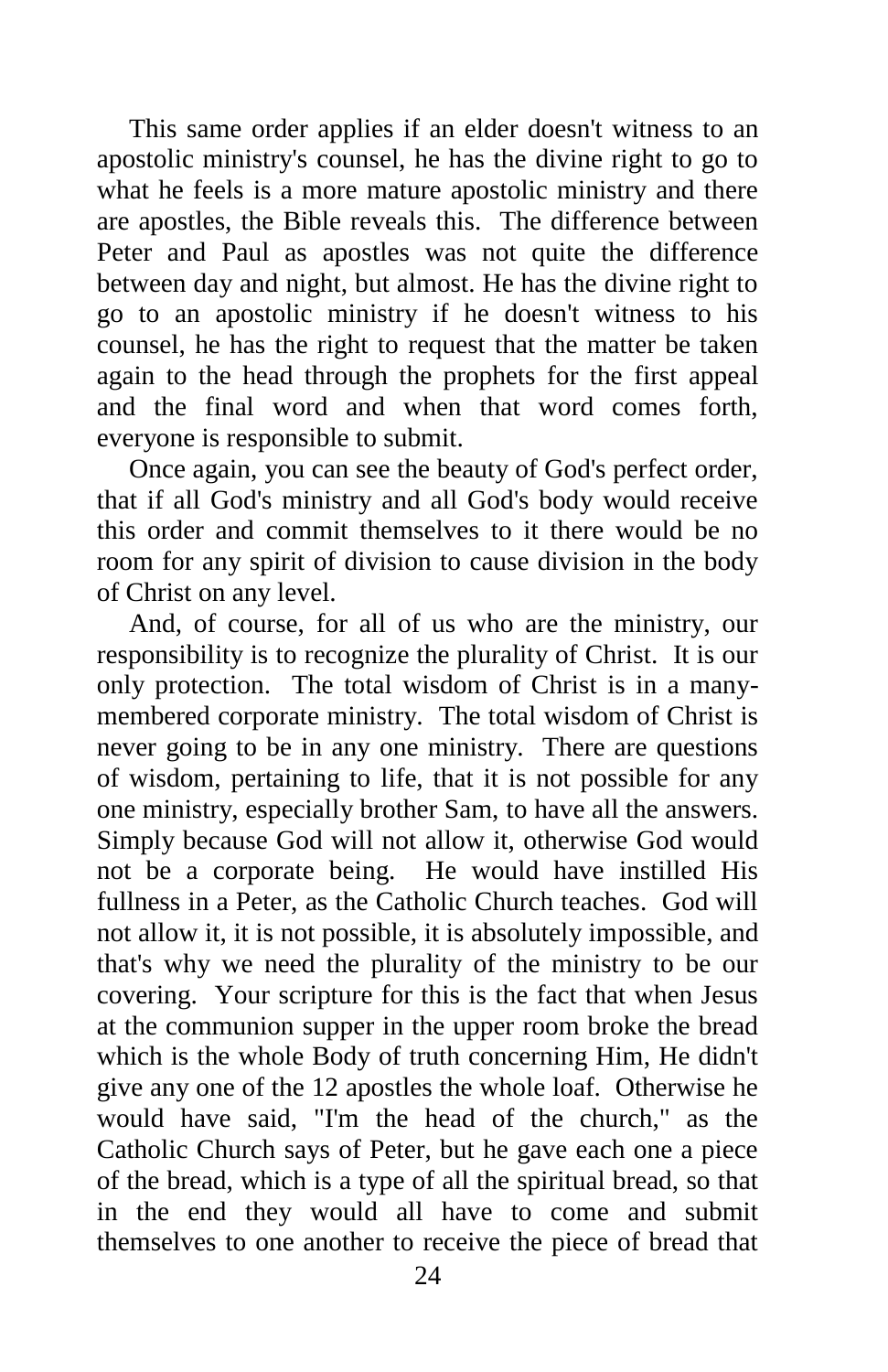This same order applies if an elder doesn't witness to an apostolic ministry's counsel, he has the divine right to go to what he feels is a more mature apostolic ministry and there are apostles, the Bible reveals this. The difference between Peter and Paul as apostles was not quite the difference between day and night, but almost. He has the divine right to go to an apostolic ministry if he doesn't witness to his counsel, he has the right to request that the matter be taken again to the head through the prophets for the first appeal and the final word and when that word comes forth, everyone is responsible to submit.

Once again, you can see the beauty of God's perfect order, that if all God's ministry and all God's body would receive this order and commit themselves to it there would be no room for any spirit of division to cause division in the body of Christ on any level.

And, of course, for all of us who are the ministry, our responsibility is to recognize the plurality of Christ. It is our only protection. The total wisdom of Christ is in a manymembered corporate ministry. The total wisdom of Christ is never going to be in any one ministry. There are questions of wisdom, pertaining to life, that it is not possible for any one ministry, especially brother Sam, to have all the answers. Simply because God will not allow it, otherwise God would not be a corporate being. He would have instilled His fullness in a Peter, as the Catholic Church teaches. God will not allow it, it is not possible, it is absolutely impossible, and that's why we need the plurality of the ministry to be our covering. Your scripture for this is the fact that when Jesus at the communion supper in the upper room broke the bread which is the whole Body of truth concerning Him, He didn't give any one of the 12 apostles the whole loaf. Otherwise he would have said, "I'm the head of the church," as the Catholic Church says of Peter, but he gave each one a piece of the bread, which is a type of all the spiritual bread, so that in the end they would all have to come and submit themselves to one another to receive the piece of bread that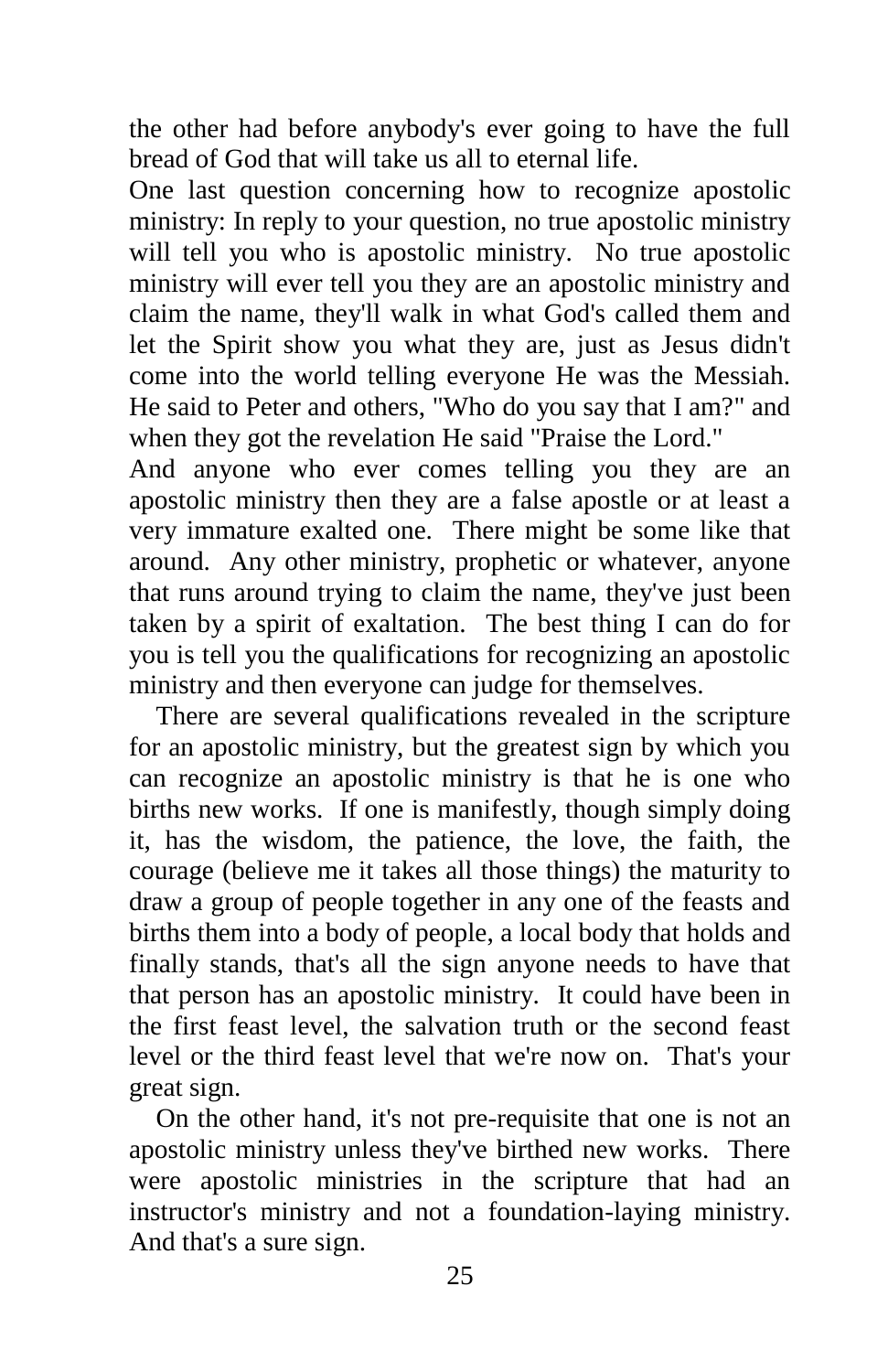the other had before anybody's ever going to have the full bread of God that will take us all to eternal life.

One last question concerning how to recognize apostolic ministry: In reply to your question, no true apostolic ministry will tell you who is apostolic ministry. No true apostolic ministry will ever tell you they are an apostolic ministry and claim the name, they'll walk in what God's called them and let the Spirit show you what they are, just as Jesus didn't come into the world telling everyone He was the Messiah. He said to Peter and others, "Who do you say that I am?" and when they got the revelation He said "Praise the Lord."

And anyone who ever comes telling you they are an apostolic ministry then they are a false apostle or at least a very immature exalted one. There might be some like that around. Any other ministry, prophetic or whatever, anyone that runs around trying to claim the name, they've just been taken by a spirit of exaltation. The best thing I can do for you is tell you the qualifications for recognizing an apostolic ministry and then everyone can judge for themselves.

 There are several qualifications revealed in the scripture for an apostolic ministry, but the greatest sign by which you can recognize an apostolic ministry is that he is one who births new works. If one is manifestly, though simply doing it, has the wisdom, the patience, the love, the faith, the courage (believe me it takes all those things) the maturity to draw a group of people together in any one of the feasts and births them into a body of people, a local body that holds and finally stands, that's all the sign anyone needs to have that that person has an apostolic ministry. It could have been in the first feast level, the salvation truth or the second feast level or the third feast level that we're now on. That's your great sign.

 On the other hand, it's not pre-requisite that one is not an apostolic ministry unless they've birthed new works. There were apostolic ministries in the scripture that had an instructor's ministry and not a foundation-laying ministry. And that's a sure sign.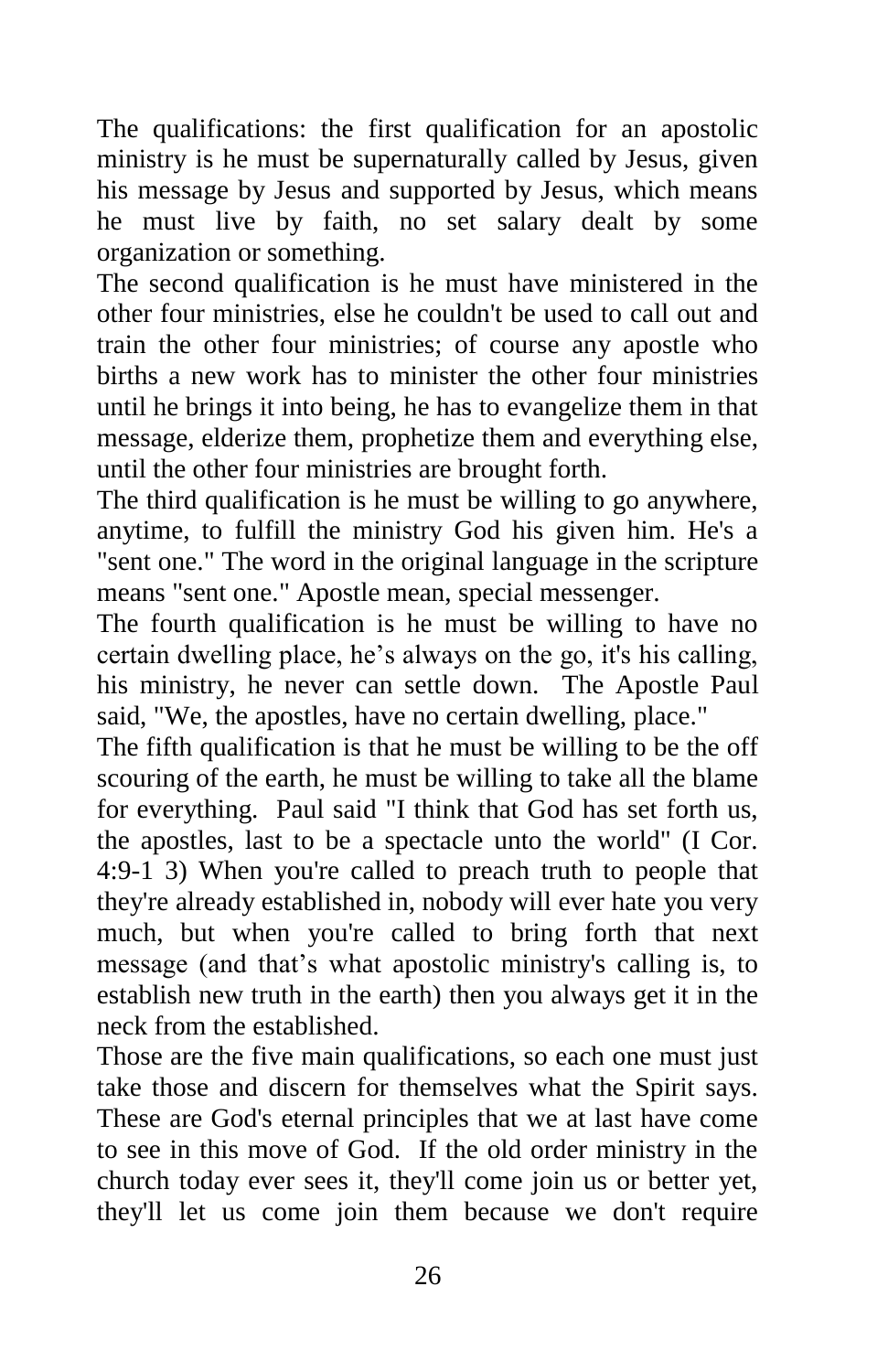The qualifications: the first qualification for an apostolic ministry is he must be supernaturally called by Jesus, given his message by Jesus and supported by Jesus, which means he must live by faith, no set salary dealt by some organization or something.

The second qualification is he must have ministered in the other four ministries, else he couldn't be used to call out and train the other four ministries; of course any apostle who births a new work has to minister the other four ministries until he brings it into being, he has to evangelize them in that message, elderize them, prophetize them and everything else, until the other four ministries are brought forth.

The third qualification is he must be willing to go anywhere, anytime, to fulfill the ministry God his given him. He's a "sent one." The word in the original language in the scripture means "sent one." Apostle mean, special messenger.

The fourth qualification is he must be willing to have no certain dwelling place, he's always on the go, it's his calling, his ministry, he never can settle down. The Apostle Paul said, "We, the apostles, have no certain dwelling, place."

The fifth qualification is that he must be willing to be the off scouring of the earth, he must be willing to take all the blame for everything. Paul said "I think that God has set forth us, the apostles, last to be a spectacle unto the world" (I Cor. 4:9-1 3) When you're called to preach truth to people that they're already established in, nobody will ever hate you very much, but when you're called to bring forth that next message (and that's what apostolic ministry's calling is, to establish new truth in the earth) then you always get it in the neck from the established.

Those are the five main qualifications, so each one must just take those and discern for themselves what the Spirit says. These are God's eternal principles that we at last have come to see in this move of God. If the old order ministry in the church today ever sees it, they'll come join us or better yet, they'll let us come join them because we don't require